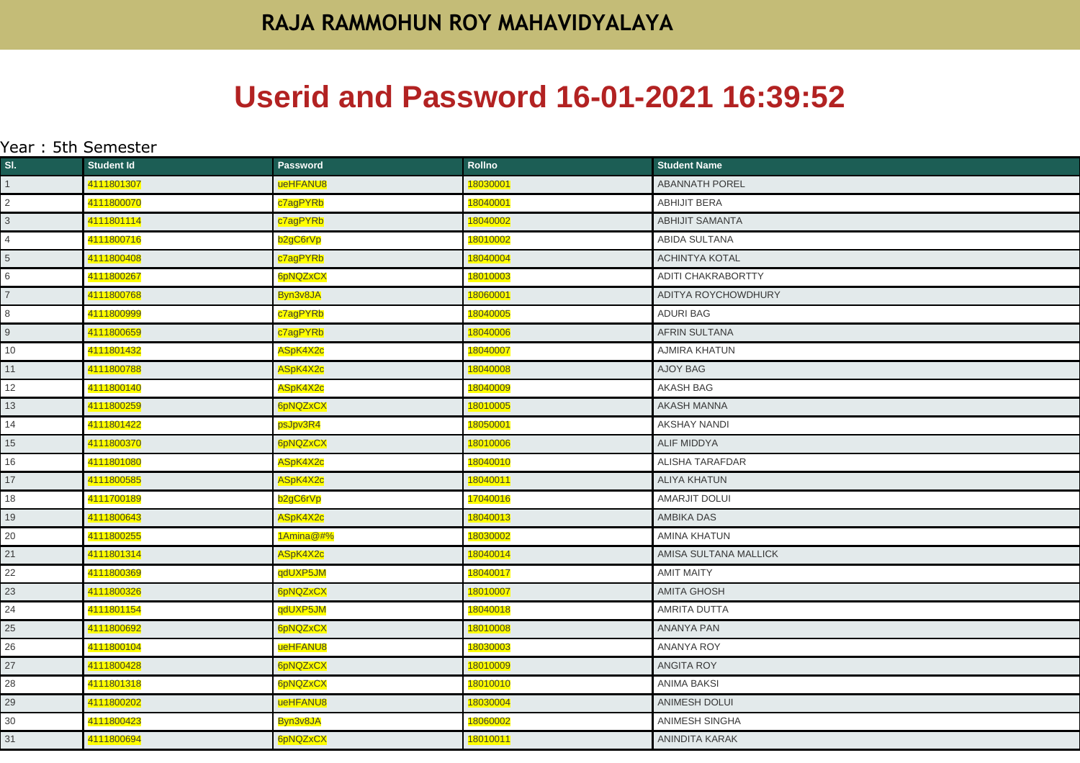## **Userid and Password 16-01-2021 16:39:52**

## Year : 5th Semester

| SI.             | <b>Student Id</b> | Password              | Rollno   | <b>Student Name</b>       |
|-----------------|-------------------|-----------------------|----------|---------------------------|
| $\mathbf{1}$    | 4111801307        | ueHFANU8              | 18030001 | <b>ABANNATH POREL</b>     |
| $\overline{2}$  | 4111800070        | c7agPYRb              | 18040001 | <b>ABHIJIT BERA</b>       |
| $\mathbf{3}$    | 4111801114        | c7agPYRb              | 18040002 | <b>ABHIJIT SAMANTA</b>    |
| $\overline{4}$  | 4111800716        | b <sub>2g</sub> C6rVp | 18010002 | ABIDA SULTANA             |
| $\overline{5}$  | 4111800408        | c7agPYRb              | 18040004 | <b>ACHINTYA KOTAL</b>     |
| $6\phantom{a}$  | 4111800267        | 6pNQZxCX              | 18010003 | <b>ADITI CHAKRABORTTY</b> |
| $\overline{7}$  | 4111800768        | Byn3v8JA              | 18060001 | ADITYA ROYCHOWDHURY       |
| $\overline{8}$  | 4111800999        | c7agPYRb              | 18040005 | <b>ADURI BAG</b>          |
| $\overline{9}$  | 4111800659        | c7agPYRb              | 18040006 | <b>AFRIN SULTANA</b>      |
| 10              | 4111801432        | ASpK4X2c              | 18040007 | <b>AJMIRA KHATUN</b>      |
| 11              | 4111800788        | ASpK4X2c              | 18040008 | <b>AJOY BAG</b>           |
| 12              | 4111800140        | ASpK4X2c              | 18040009 | <b>AKASH BAG</b>          |
| 13              | 4111800259        | <b>6pNQZxCX</b>       | 18010005 | <b>AKASH MANNA</b>        |
| 14              | 4111801422        | psJpv3R4              | 18050001 | AKSHAY NANDI              |
| 15              | 4111800370        | 6pNQZxCX              | 18010006 | <b>ALIF MIDDYA</b>        |
| 16              | 4111801080        | ASpK4X2c              | 18040010 | <b>ALISHA TARAFDAR</b>    |
| $\overline{17}$ | 4111800585        | ASpK4X2c              | 18040011 | <b>ALIYA KHATUN</b>       |
| 18              | 4111700189        | b <sub>2g</sub> C6rVp | 17040016 | <b>AMARJIT DOLUI</b>      |
| 19              | 4111800643        | ASpK4X2c              | 18040013 | AMBIKA DAS                |
| $20\degree$     | 4111800255        | 1Amina@#%             | 18030002 | <b>AMINA KHATUN</b>       |
| 21              | 4111801314        | ASpK4X2c              | 18040014 | AMISA SULTANA MALLICK     |
| 22              | 4111800369        | qdUXP5JM              | 18040017 | <b>AMIT MAITY</b>         |
| $\overline{23}$ | 4111800326        | <b>6pNQZxCX</b>       | 18010007 | <b>AMITA GHOSH</b>        |
| 24              | 4111801154        | qdUXP5JM              | 18040018 | <b>AMRITA DUTTA</b>       |
| 25              | 4111800692        | <b>6pNQZxCX</b>       | 18010008 | <b>ANANYA PAN</b>         |
| 26              | 4111800104        | ueHFANU8              | 18030003 | ANANYA ROY                |
| 27              | 4111800428        | 6pNQZxCX              | 18010009 | <b>ANGITA ROY</b>         |
| 28              | 4111801318        | 6pNQZxCX              | 18010010 | <b>ANIMA BAKSI</b>        |
| $\overline{29}$ | 4111800202        | ueHFANU8              | 18030004 | ANIMESH DOLUI             |
| $30\,$          | 4111800423        | Byn3v8JA              | 18060002 | ANIMESH SINGHA            |
| 31              | 4111800694        | 6pNQZxCX              | 18010011 | ANINDITA KARAK            |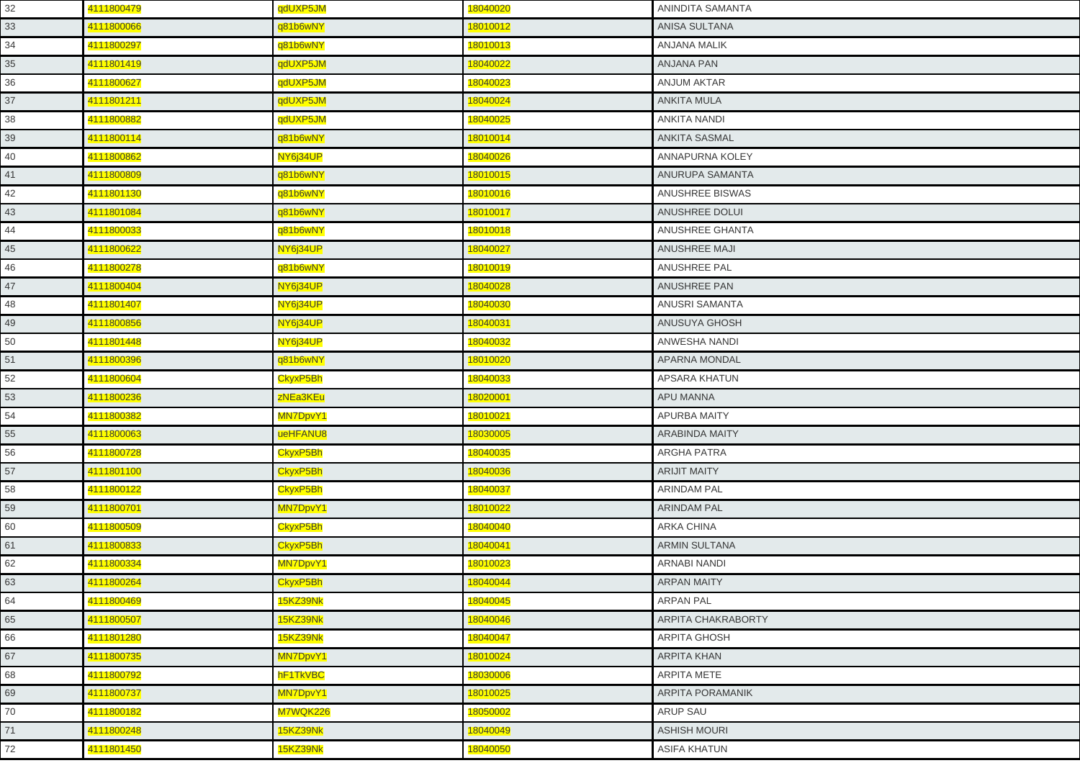| 32 | 4111800479 | qdUXP5JM | 18040020 | ANINDITA SAMANTA        |
|----|------------|----------|----------|-------------------------|
| 33 | 4111800066 | q81b6wNY | 18010012 | ANISA SULTANA           |
| 34 | 4111800297 | q81b6wNY | 18010013 | <b>ANJANA MALIK</b>     |
| 35 | 4111801419 | qdUXP5JM | 18040022 | ANJANA PAN              |
| 36 | 4111800627 | qdUXP5JM | 18040023 | ANJUM AKTAR             |
| 37 | 4111801211 | qdUXP5JM | 18040024 | <b>ANKITA MULA</b>      |
| 38 | 4111800882 | qdUXP5JM | 18040025 | ANKITA NANDI            |
| 39 | 4111800114 | q81b6wNY | 18010014 | <b>ANKITA SASMAL</b>    |
| 40 | 4111800862 | NY6j34UP | 18040026 | ANNAPURNA KOLEY         |
| 41 | 4111800809 | q81b6wNY | 18010015 | ANURUPA SAMANTA         |
| 42 | 4111801130 | q81b6wNY | 18010016 | ANUSHREE BISWAS         |
| 43 | 4111801084 | q81b6wNY | 18010017 | ANUSHREE DOLUI          |
| 44 | 4111800033 | q81b6wNY | 18010018 | ANUSHREE GHANTA         |
| 45 | 4111800622 | NY6j34UP | 18040027 | <b>ANUSHREE MAJI</b>    |
| 46 | 4111800278 | q81b6wNY | 18010019 | ANUSHREE PAL            |
| 47 | 4111800404 | NY6j34UP | 18040028 | ANUSHREE PAN            |
| 48 | 4111801407 | NY6j34UP | 18040030 | <b>ANUSRI SAMANTA</b>   |
| 49 | 4111800856 | NY6j34UP | 18040031 | ANUSUYA GHOSH           |
| 50 | 4111801448 | NY6j34UP | 18040032 | ANWESHA NANDI           |
| 51 | 4111800396 | q81b6wNY | 18010020 | <b>APARNA MONDAL</b>    |
| 52 | 4111800604 | CkyxP5Bh | 18040033 | APSARA KHATUN           |
| 53 | 4111800236 | zNEa3KEu | 18020001 | APU MANNA               |
| 54 | 4111800382 | MN7DpvY1 | 18010021 | <b>APURBA MAITY</b>     |
| 55 | 4111800063 | ueHFANU8 | 18030005 | <b>ARABINDA MAITY</b>   |
| 56 | 4111800728 | CkyxP5Bh | 18040035 | <b>ARGHA PATRA</b>      |
| 57 | 4111801100 | CkyxP5Bh | 18040036 | <b>ARIJIT MAITY</b>     |
| 58 | 4111800122 | CkyxP5Bh | 18040037 | <b>ARINDAM PAL</b>      |
| 59 | 4111800701 | MN7DpvY1 | 18010022 | <b>ARINDAM PAL</b>      |
| 60 | 4111800509 | CkyxP5Bh | 18040040 | ARKA CHINA              |
| 61 | 4111800833 | CkyxP5Bh | 18040041 | <b>ARMIN SULTANA</b>    |
| 62 | 4111800334 | MN7DpvY1 | 18010023 | <b>ARNABI NANDI</b>     |
| 63 | 4111800264 | CkyxP5Bh | 18040044 | <b>ARPAN MAITY</b>      |
| 64 | 4111800469 | 15KZ39Nk | 18040045 | <b>ARPAN PAL</b>        |
| 65 | 4111800507 | 15KZ39Nk | 18040046 | ARPITA CHAKRABORTY      |
| 66 | 4111801280 | 15KZ39Nk | 18040047 | <b>ARPITA GHOSH</b>     |
| 67 | 4111800735 | MN7DpvY1 | 18010024 | <b>ARPITA KHAN</b>      |
| 68 | 4111800792 | hF1TkVBC | 18030006 | <b>ARPITA METE</b>      |
| 69 | 4111800737 | MN7DpvY1 | 18010025 | <b>ARPITA PORAMANIK</b> |
| 70 | 4111800182 | M7WQK226 | 18050002 | <b>ARUP SAU</b>         |
| 71 | 4111800248 | 15KZ39Nk | 18040049 | <b>ASHISH MOURI</b>     |
| 72 | 4111801450 | 15KZ39Nk | 18040050 | <b>ASIFA KHATUN</b>     |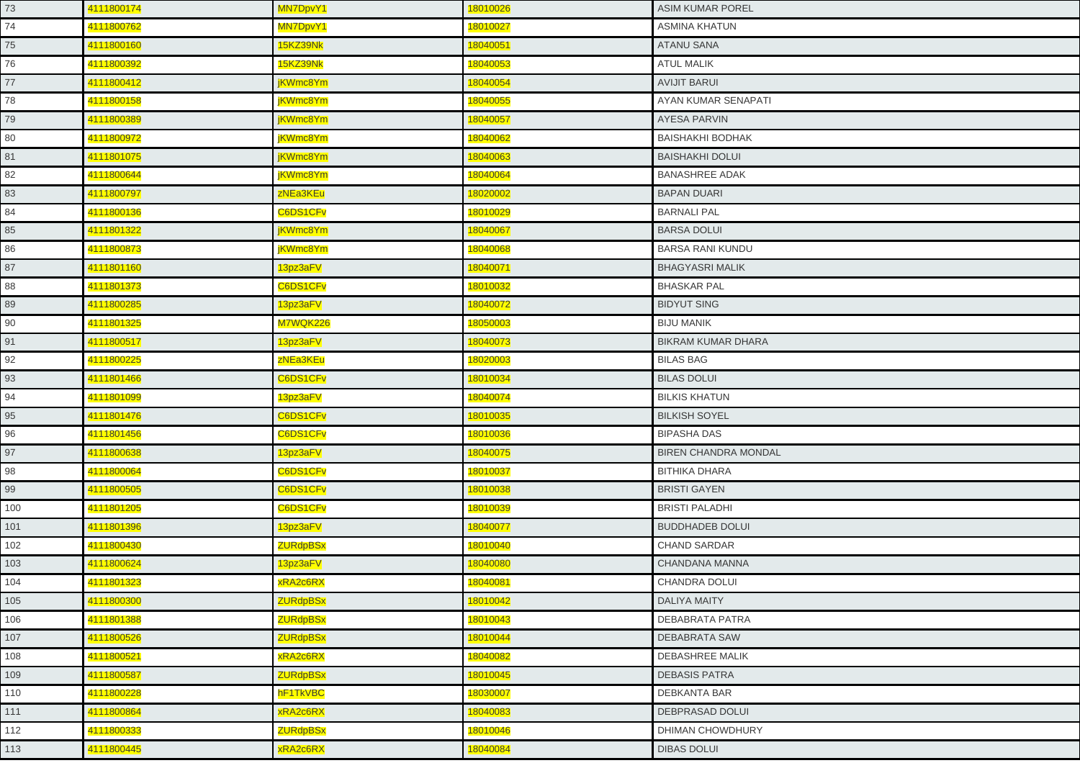| 73  | 4111800174 | MN7DpvY1        | 18010026 | <b>ASIM KUMAR POREL</b>     |
|-----|------------|-----------------|----------|-----------------------------|
| 74  | 4111800762 | MN7DpvY1        | 18010027 | <b>ASMINA KHATUN</b>        |
| 75  | 4111800160 | <b>15KZ39Nk</b> | 18040051 | <b>ATANU SANA</b>           |
| 76  | 4111800392 | 15KZ39Nk        | 18040053 | <b>ATUL MALIK</b>           |
| 77  | 4111800412 | jKWmc8Ym        | 18040054 | <b>AVIJIT BARUI</b>         |
| 78  | 4111800158 | jKWmc8Ym        | 18040055 | AYAN KUMAR SENAPATI         |
| 79  | 4111800389 | jKWmc8Ym        | 18040057 | <b>AYESA PARVIN</b>         |
| 80  | 4111800972 | jKWmc8Ym        | 18040062 | <b>BAISHAKHI BODHAK</b>     |
| 81  | 4111801075 | jKWmc8Ym        | 18040063 | <b>BAISHAKHI DOLUI</b>      |
| 82  | 4111800644 | jKWmc8Ym        | 18040064 | <b>BANASHREE ADAK</b>       |
| 83  | 4111800797 | zNEa3KEu        | 18020002 | <b>BAPAN DUARI</b>          |
| 84  | 4111800136 | C6DS1CFv        | 18010029 | <b>BARNALI PAL</b>          |
| 85  | 4111801322 | jKWmc8Ym        | 18040067 | <b>BARSA DOLUI</b>          |
| 86  | 4111800873 | jKWmc8Ym        | 18040068 | <b>BARSA RANI KUNDU</b>     |
| 87  | 4111801160 | 13pz3aFV        | 18040071 | <b>BHAGYASRI MALIK</b>      |
| 88  | 4111801373 | C6DS1CFv        | 18010032 | <b>BHASKAR PAL</b>          |
| 89  | 4111800285 | 13pz3aFV        | 18040072 | <b>BIDYUT SING</b>          |
| 90  | 4111801325 | M7WQK226        | 18050003 | <b>BIJU MANIK</b>           |
| 91  | 4111800517 | 13pz3aFV        | 18040073 | <b>BIKRAM KUMAR DHARA</b>   |
| 92  | 4111800225 | zNEa3KEu        | 18020003 | <b>BILAS BAG</b>            |
| 93  | 4111801466 | C6DS1CFv        | 18010034 | <b>BILAS DOLUI</b>          |
| 94  | 4111801099 | 13pz3aFV        | 18040074 | <b>BILKIS KHATUN</b>        |
| 95  | 4111801476 | C6DS1CFv        | 18010035 | <b>BILKISH SOYEL</b>        |
| 96  | 4111801456 | C6DS1CFv        | 18010036 | <b>BIPASHA DAS</b>          |
| 97  | 4111800638 | 13pz3aFV        | 18040075 | <b>BIREN CHANDRA MONDAL</b> |
| 98  | 4111800064 | C6DS1CFv        | 18010037 | <b>BITHIKA DHARA</b>        |
| 99  | 4111800505 | C6DS1CFv        | 18010038 | <b>BRISTI GAYEN</b>         |
| 100 | 4111801205 | C6DS1CFv        | 18010039 | <b>BRISTI PALADHI</b>       |
| 101 | 4111801396 | 13pz3aFV        | 18040077 | <b>BUDDHADEB DOLUI</b>      |
| 102 | 4111800430 | <b>ZURdpBSx</b> | 18010040 | <b>CHAND SARDAR</b>         |
| 103 | 4111800624 | 13pz3aFV        | 18040080 | CHANDANA MANNA              |
| 104 | 4111801323 | xRA2c6RX        | 18040081 | CHANDRA DOLUI               |
| 105 | 4111800300 | <b>ZURdpBSx</b> | 18010042 | <b>DALIYA MAITY</b>         |
| 106 | 4111801388 | <b>ZURdpBSx</b> | 18010043 | DEBABRATA PATRA             |
| 107 | 4111800526 | <b>ZURdpBSx</b> | 18010044 | <b>DEBABRATA SAW</b>        |
| 108 | 4111800521 | xRA2c6RX        | 18040082 | <b>DEBASHREE MALIK</b>      |
| 109 | 4111800587 | <b>ZURdpBSx</b> | 18010045 | <b>DEBASIS PATRA</b>        |
| 110 | 4111800228 | hF1TkVBC        | 18030007 | <b>DEBKANTA BAR</b>         |
| 111 | 4111800864 | xRA2c6RX        | 18040083 | DEBPRASAD DOLUI             |
| 112 | 4111800333 | <b>ZURdpBSx</b> | 18010046 | DHIMAN CHOWDHURY            |
| 113 | 4111800445 | xRA2c6RX        | 18040084 | <b>DIBAS DOLUI</b>          |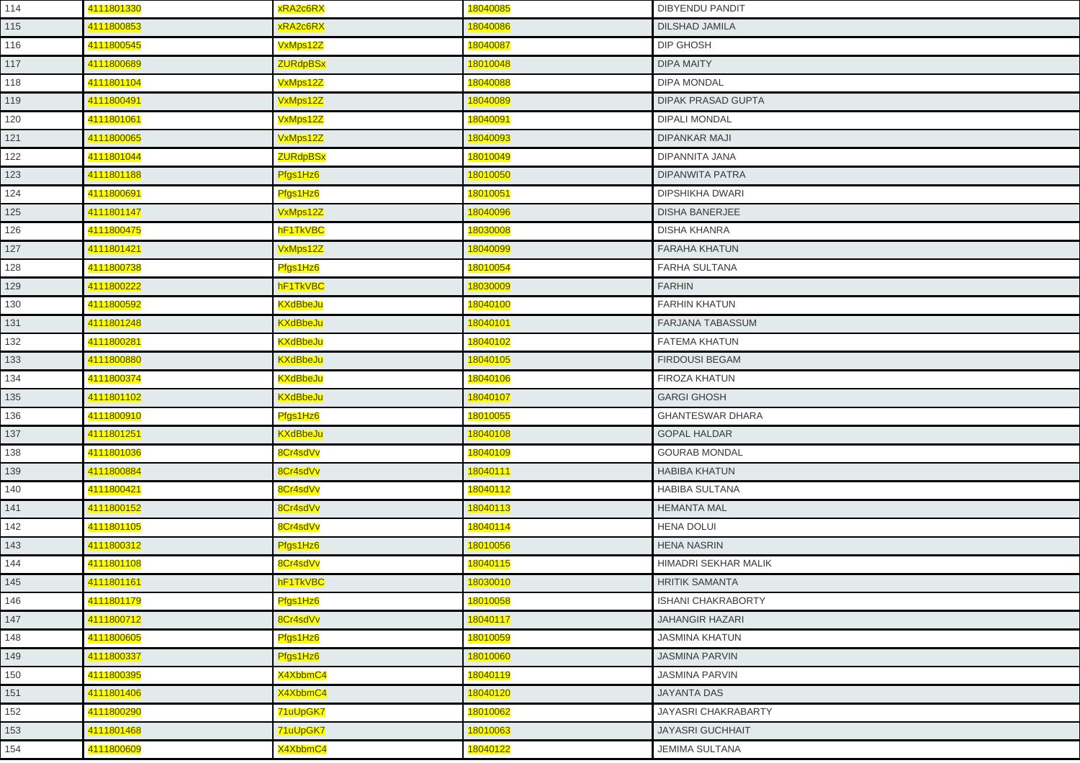| 114 | 4111801330 | xRA2c6RX        | 18040085 | DIBYENDU PANDIT           |
|-----|------------|-----------------|----------|---------------------------|
| 115 | 4111800853 | xRA2c6RX        | 18040086 | <b>DILSHAD JAMILA</b>     |
| 116 | 4111800545 | VxMps12Z        | 18040087 | DIP GHOSH                 |
| 117 | 4111800689 | <b>ZURdpBSx</b> | 18010048 | <b>DIPA MAITY</b>         |
| 118 | 4111801104 | VxMps12Z        | 18040088 | <b>DIPA MONDAL</b>        |
| 119 | 4111800491 | VxMps12Z        | 18040089 | <b>DIPAK PRASAD GUPTA</b> |
| 120 | 4111801061 | VxMps12Z        | 18040091 | <b>DIPALI MONDAL</b>      |
| 121 | 4111800065 | VxMps12Z        | 18040093 | <b>DIPANKAR MAJI</b>      |
| 122 | 4111801044 | <b>ZURdpBSx</b> | 18010049 | DIPANNITA JANA            |
| 123 | 4111801188 | Pfgs1Hz6        | 18010050 | <b>DIPANWITA PATRA</b>    |
| 124 | 4111800691 | Pfgs1Hz6        | 18010051 | <b>DIPSHIKHA DWARI</b>    |
| 125 | 4111801147 | VxMps12Z        | 18040096 | <b>DISHA BANERJEE</b>     |
| 126 | 4111800475 | hF1TkVBC        | 18030008 | <b>DISHA KHANRA</b>       |
| 127 | 4111801421 | VxMps12Z        | 18040099 | <b>FARAHA KHATUN</b>      |
| 128 | 4111800738 | Pfgs1Hz6        | 18010054 | <b>FARHA SULTANA</b>      |
| 129 | 4111800222 | hF1TkVBC        | 18030009 | <b>FARHIN</b>             |
| 130 | 4111800592 | KXdBbeJu        | 18040100 | <b>FARHIN KHATUN</b>      |
| 131 | 4111801248 | <b>KXdBbeJu</b> | 18040101 | <b>FARJANA TABASSUM</b>   |
| 132 | 4111800281 | <b>KXdBbeJu</b> | 18040102 | <b>FATEMA KHATUN</b>      |
| 133 | 4111800880 | <b>KXdBbeJu</b> | 18040105 | <b>FIRDOUSI BEGAM</b>     |
| 134 | 4111800374 | <b>KXdBbeJu</b> | 18040106 | <b>FIROZA KHATUN</b>      |
| 135 | 4111801102 | <b>KXdBbeJu</b> | 18040107 | <b>GARGI GHOSH</b>        |
| 136 | 4111800910 | Pfgs1Hz6        | 18010055 | <b>GHANTESWAR DHARA</b>   |
| 137 | 4111801251 | <b>KXdBbeJu</b> | 18040108 | <b>GOPAL HALDAR</b>       |
| 138 | 4111801036 | 8Cr4sdVv        | 18040109 | <b>GOURAB MONDAL</b>      |
| 139 | 4111800884 | 8Cr4sdVv        | 18040111 | <b>HABIBA KHATUN</b>      |
| 140 | 4111800421 | 8Cr4sdVv        | 18040112 | <b>HABIBA SULTANA</b>     |
| 141 | 4111800152 | 8Cr4sdVv        | 18040113 | <b>HEMANTA MAL</b>        |
| 142 | 4111801105 | 8Cr4sdVv        | 18040114 | <b>HENA DOLUI</b>         |
| 143 | 4111800312 | Pfgs1Hz6        | 18010056 | <b>HENA NASRIN</b>        |
| 144 | 4111801108 | 8Cr4sdVv        | 18040115 | HIMADRI SEKHAR MALIK      |
| 145 | 4111801161 | hF1TkVBC        | 18030010 | <b>HRITIK SAMANTA</b>     |
| 146 | 4111801179 | Pfgs1Hz6        | 18010058 | <b>ISHANI CHAKRABORTY</b> |
| 147 | 4111800712 | 8Cr4sdVv        | 18040117 | <b>JAHANGIR HAZARI</b>    |
| 148 | 4111800605 | Pfgs1Hz6        | 18010059 | <b>JASMINA KHATUN</b>     |
| 149 | 4111800337 | Pfgs1Hz6        | 18010060 | <b>JASMINA PARVIN</b>     |
| 150 | 4111800395 | X4XbbmC4        | 18040119 | <b>JASMINA PARVIN</b>     |
| 151 | 4111801406 | X4XbbmC4        | 18040120 | <b>JAYANTA DAS</b>        |
| 152 | 4111800290 | 71uUpGK7        | 18010062 | JAYASRI CHAKRABARTY       |
| 153 | 4111801468 | 71uUpGK7        | 18010063 | <b>JAYASRI GUCHHAIT</b>   |
| 154 | 4111800609 | X4XbbmC4        | 18040122 | <b>JEMIMA SULTANA</b>     |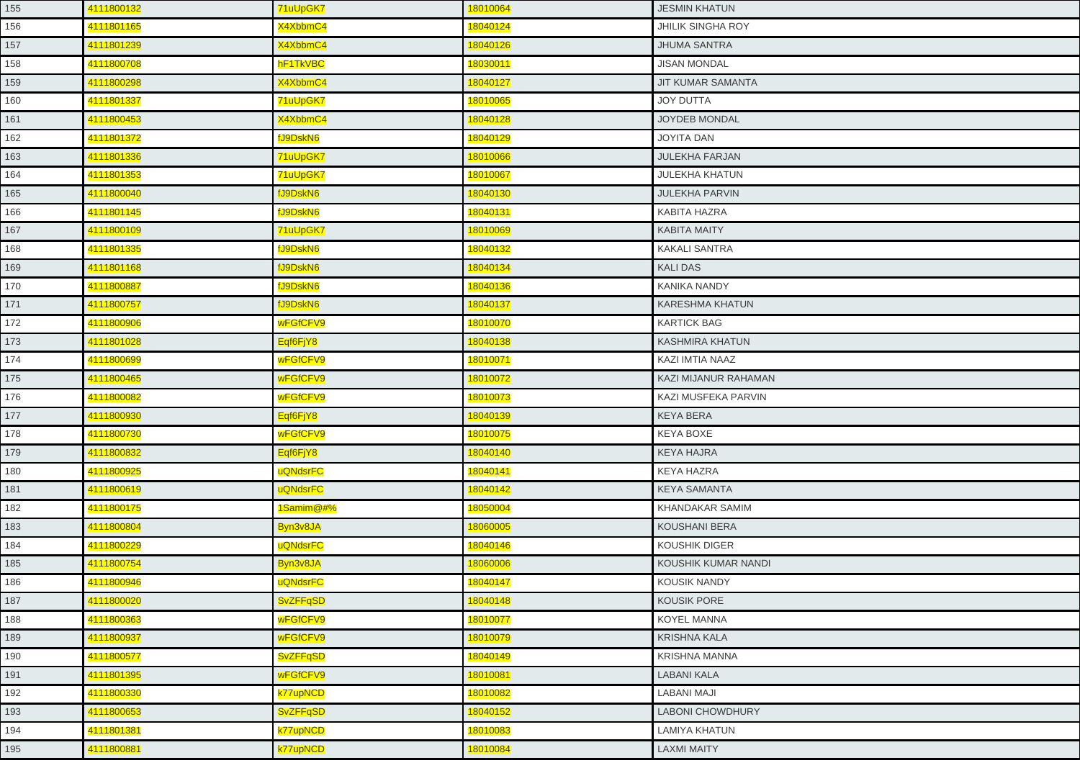| 155 | 4111800132 | 71uUpGK7        | 18010064 | <b>JESMIN KHATUN</b>     |
|-----|------------|-----------------|----------|--------------------------|
| 156 | 4111801165 | X4XbbmC4        | 18040124 | <b>JHILIK SINGHA ROY</b> |
| 157 | 4111801239 | X4XbbmC4        | 18040126 | <b>JHUMA SANTRA</b>      |
| 158 | 4111800708 | hF1TkVBC        | 18030011 | <b>JISAN MONDAL</b>      |
| 159 | 4111800298 | X4XbbmC4        | 18040127 | <b>JIT KUMAR SAMANTA</b> |
| 160 | 4111801337 | 71uUpGK7        | 18010065 | <b>JOY DUTTA</b>         |
| 161 | 4111800453 | X4XbbmC4        | 18040128 | <b>JOYDEB MONDAL</b>     |
| 162 | 4111801372 | fJ9DskN6        | 18040129 | <b>JOYITA DAN</b>        |
| 163 | 4111801336 | 71uUpGK7        | 18010066 | <b>JULEKHA FARJAN</b>    |
| 164 | 4111801353 | 71uUpGK7        | 18010067 | <b>JULEKHA KHATUN</b>    |
| 165 | 4111800040 | fJ9DskN6        | 18040130 | <b>JULEKHA PARVIN</b>    |
| 166 | 4111801145 | fJ9DskN6        | 18040131 | KABITA HAZRA             |
| 167 | 4111800109 | 71uUpGK7        | 18010069 | <b>KABITA MAITY</b>      |
| 168 | 4111801335 | <b>fJ9DskN6</b> | 18040132 | <b>KAKALI SANTRA</b>     |
| 169 | 4111801168 | fJ9DskN6        | 18040134 | <b>KALI DAS</b>          |
| 170 | 4111800887 | <b>fJ9DskN6</b> | 18040136 | KANIKA NANDY             |
| 171 | 4111800757 | <b>fJ9DskN6</b> | 18040137 | <b>KARESHMA KHATUN</b>   |
| 172 | 4111800906 | wFGfCFV9        | 18010070 | <b>KARTICK BAG</b>       |
| 173 | 4111801028 | Eqf6FjY8        | 18040138 | <b>KASHMIRA KHATUN</b>   |
| 174 | 4111800699 | wFGfCFV9        | 18010071 | KAZI IMTIA NAAZ          |
| 175 | 4111800465 | wFGfCFV9        | 18010072 | KAZI MIJANUR RAHAMAN     |
| 176 | 4111800082 | wFGfCFV9        | 18010073 | KAZI MUSFEKA PARVIN      |
| 177 | 4111800930 | Eqf6FjY8        | 18040139 | <b>KEYA BERA</b>         |
| 178 | 4111800730 | wFGfCFV9        | 18010075 | KEYA BOXE                |
| 179 | 4111800832 | Eqf6FjY8        | 18040140 | <b>KEYA HAJRA</b>        |
| 180 | 4111800925 | uQNdsrFC        | 18040141 | <b>KEYA HAZRA</b>        |
| 181 | 4111800619 | uQNdsrFC        | 18040142 | <b>KEYA SAMANTA</b>      |
| 182 | 4111800175 | 1Samim@#%       | 18050004 | KHANDAKAR SAMIM          |
| 183 | 4111800804 | Byn3v8JA        | 18060005 | KOUSHANI BERA            |
| 184 | 4111800229 | uQNdsrFC        | 18040146 | <b>KOUSHIK DIGER</b>     |
| 185 | 4111800754 | Byn3v8JA        | 18060006 | KOUSHIK KUMAR NANDI      |
| 186 | 4111800946 | uQNdsrFC        | 18040147 | <b>KOUSIK NANDY</b>      |
| 187 | 4111800020 | <b>SvZFFqSD</b> | 18040148 | <b>KOUSIK PORE</b>       |
| 188 | 4111800363 | wFGfCFV9        | 18010077 | <b>KOYEL MANNA</b>       |
| 189 | 4111800937 | wFGfCFV9        | 18010079 | <b>KRISHNA KALA</b>      |
| 190 | 4111800577 | <b>SvZFFqSD</b> | 18040149 | <b>KRISHNA MANNA</b>     |
| 191 | 4111801395 | wFGfCFV9        | 18010081 | <b>LABANI KALA</b>       |
| 192 | 4111800330 | k77upNCD        | 18010082 | <b>LABANI MAJI</b>       |
| 193 | 4111800653 | <b>SvZFFqSD</b> | 18040152 | LABONI CHOWDHURY         |
| 194 | 4111801381 | k77upNCD        | 18010083 | <b>LAMIYA KHATUN</b>     |
| 195 | 4111800881 | k77upNCD        | 18010084 | <b>LAXMI MAITY</b>       |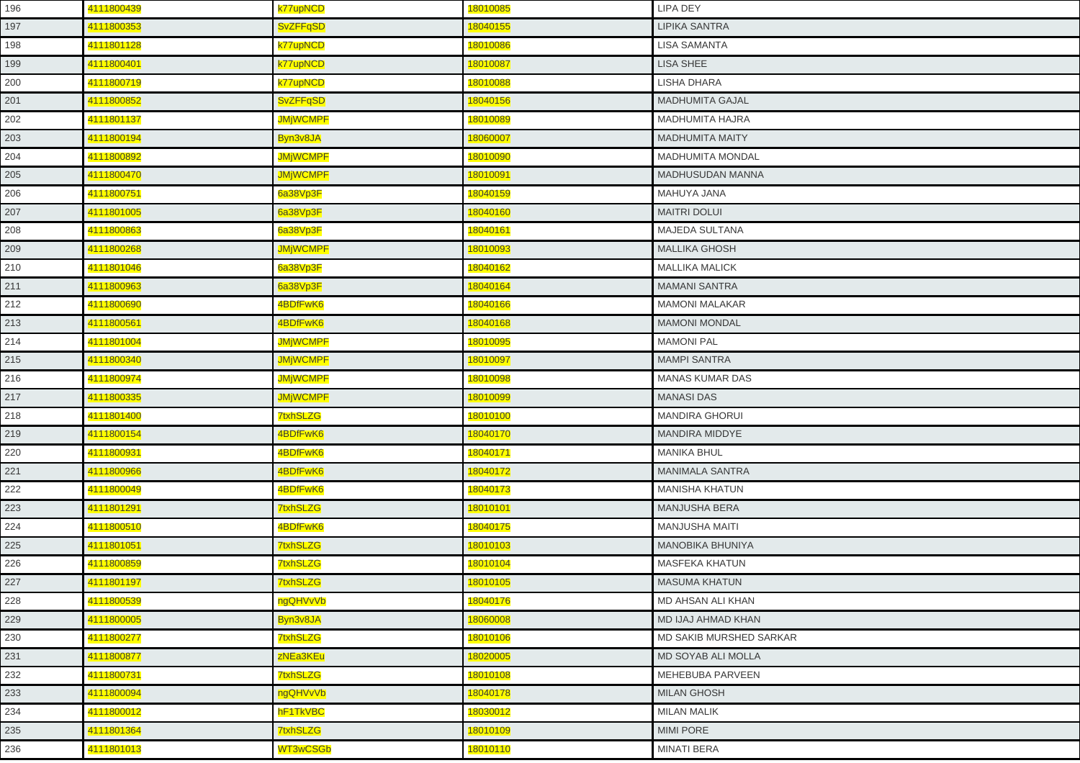| 196 | 4111800439 | k77upNCD        | 18010085 | <b>LIPA DEY</b>         |
|-----|------------|-----------------|----------|-------------------------|
| 197 | 4111800353 | <b>SvZFFqSD</b> | 18040155 | LIPIKA SANTRA           |
| 198 | 4111801128 | k77upNCD        | 18010086 | <b>LISA SAMANTA</b>     |
| 199 | 4111800401 | k77upNCD        | 18010087 | <b>LISA SHEE</b>        |
| 200 | 4111800719 | k77upNCD        | 18010088 | <b>LISHA DHARA</b>      |
| 201 | 4111800852 | <b>SvZFFqSD</b> | 18040156 | <b>MADHUMITA GAJAL</b>  |
| 202 | 4111801137 | <b>JMjWCMPF</b> | 18010089 | <b>MADHUMITA HAJRA</b>  |
| 203 | 4111800194 | Byn3v8JA        | 18060007 | <b>MADHUMITA MAITY</b>  |
| 204 | 4111800892 | <b>JMjWCMPF</b> | 18010090 | <b>MADHUMITA MONDAL</b> |
| 205 | 4111800470 | <b>JMjWCMPF</b> | 18010091 | <b>MADHUSUDAN MANNA</b> |
| 206 | 4111800751 | 6a38Vp3F        | 18040159 | MAHUYA JANA             |
| 207 | 4111801005 | 6a38Vp3F        | 18040160 | <b>MAITRI DOLUI</b>     |
| 208 | 4111800863 | 6a38Vp3F        | 18040161 | <b>MAJEDA SULTANA</b>   |
| 209 | 4111800268 | <b>JMjWCMPF</b> | 18010093 | <b>MALLIKA GHOSH</b>    |
| 210 | 4111801046 | 6a38Vp3F        | 18040162 | <b>MALLIKA MALICK</b>   |
| 211 | 4111800963 | 6a38Vp3F        | 18040164 | <b>MAMANI SANTRA</b>    |
| 212 | 4111800690 | 4BDfFwK6        | 18040166 | <b>MAMONI MALAKAR</b>   |
| 213 | 4111800561 | 4BDfFwK6        | 18040168 | <b>MAMONI MONDAL</b>    |
| 214 | 4111801004 | <b>JMjWCMPF</b> | 18010095 | <b>MAMONI PAL</b>       |
| 215 | 4111800340 | <b>JMjWCMPF</b> | 18010097 | <b>MAMPI SANTRA</b>     |
| 216 | 4111800974 | <b>JMjWCMPF</b> | 18010098 | <b>MANAS KUMAR DAS</b>  |
| 217 | 4111800335 | <b>JMjWCMPF</b> | 18010099 | <b>MANASI DAS</b>       |
| 218 | 4111801400 | <b>7txhSLZG</b> | 18010100 | MANDIRA GHORUI          |
| 219 | 4111800154 | 4BDfFwK6        | 18040170 | <b>MANDIRA MIDDYE</b>   |
| 220 | 4111800931 | 4BDfFwK6        | 18040171 | <b>MANIKA BHUL</b>      |
| 221 | 4111800966 | 4BDfFwK6        | 18040172 | <b>MANIMALA SANTRA</b>  |
| 222 | 4111800049 | 4BDfFwK6        | 18040173 | <b>MANISHA KHATUN</b>   |
| 223 | 4111801291 | <b>7txhSLZG</b> | 18010101 | <b>MANJUSHA BERA</b>    |
| 224 | 4111800510 | 4BDfFwK6        | 18040175 | <b>MANJUSHA MAITI</b>   |
| 225 | 4111801051 | <b>7txhSLZG</b> | 18010103 | <b>MANOBIKA BHUNIYA</b> |
| 226 | 4111800859 | <b>7txhSLZG</b> | 18010104 | <b>MASFEKA KHATUN</b>   |
| 227 | 4111801197 | <b>7txhSLZG</b> | 18010105 | <b>MASUMA KHATUN</b>    |
| 228 | 4111800539 | ngQHVvVb        | 18040176 | MD AHSAN ALI KHAN       |
| 229 | 4111800005 | Byn3v8JA        | 18060008 | MD IJAJ AHMAD KHAN      |
| 230 | 4111800277 | <b>7txhSLZG</b> | 18010106 | MD SAKIB MURSHED SARKAR |
| 231 | 4111800877 | zNEa3KEu        | 18020005 | MD SOYAB ALI MOLLA      |
| 232 | 4111800731 | <b>7txhSLZG</b> | 18010108 | MEHEBUBA PARVEEN        |
| 233 | 4111800094 | ngQHVvVb        | 18040178 | <b>MILAN GHOSH</b>      |
| 234 | 4111800012 | hF1TkVBC        | 18030012 | <b>MILAN MALIK</b>      |
| 235 | 4111801364 | <b>7txhSLZG</b> | 18010109 | <b>MIMI PORE</b>        |
| 236 | 4111801013 | WT3wCSGb        | 18010110 | <b>MINATI BERA</b>      |
|     |            |                 |          |                         |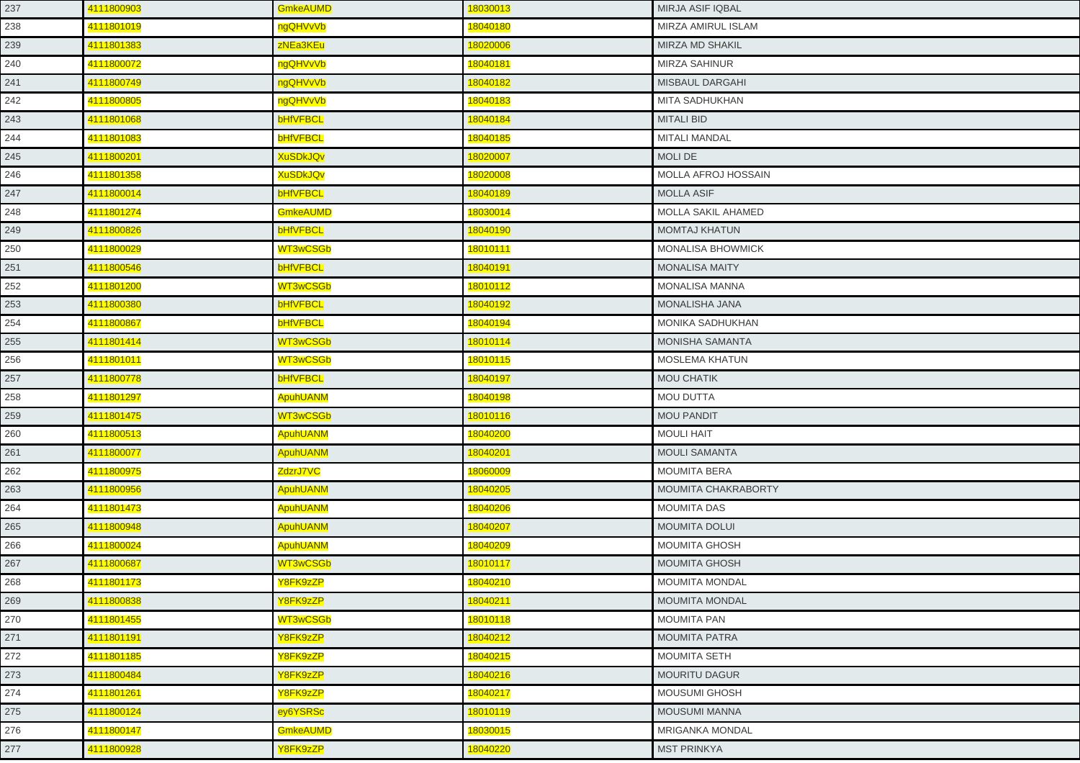| 237 | 4111800903 | <b>GmkeAUMD</b> | 18030013 | <b>MIRJA ASIF IQBAL</b>  |
|-----|------------|-----------------|----------|--------------------------|
| 238 | 4111801019 | ngQHVvVb        | 18040180 | MIRZA AMIRUL ISLAM       |
| 239 | 4111801383 | zNEa3KEu        | 18020006 | <b>MIRZA MD SHAKIL</b>   |
| 240 | 4111800072 | ngQHVvVb        | 18040181 | <b>MIRZA SAHINUR</b>     |
| 241 | 4111800749 | ngQHVvVb        | 18040182 | <b>MISBAUL DARGAHI</b>   |
| 242 | 4111800805 | ngQHVvVb        | 18040183 | MITA SADHUKHAN           |
| 243 | 4111801068 | <b>bHfVFBCL</b> | 18040184 | <b>MITALI BID</b>        |
| 244 | 4111801083 | <b>bHfVFBCL</b> | 18040185 | <b>MITALI MANDAL</b>     |
| 245 | 4111800201 | <b>XuSDkJQv</b> | 18020007 | MOLI DE                  |
| 246 | 4111801358 | <b>XuSDkJQv</b> | 18020008 | MOLLA AFROJ HOSSAIN      |
| 247 | 4111800014 | <b>bHfVFBCL</b> | 18040189 | <b>MOLLA ASIF</b>        |
| 248 | 4111801274 | <b>GmkeAUMD</b> | 18030014 | MOLLA SAKIL AHAMED       |
| 249 | 4111800826 | <b>bHfVFBCL</b> | 18040190 | <b>MOMTAJ KHATUN</b>     |
| 250 | 4111800029 | WT3wCSGb        | 18010111 | <b>MONALISA BHOWMICK</b> |
| 251 | 4111800546 | <b>bHfVFBCL</b> | 18040191 | <b>MONALISA MAITY</b>    |
| 252 | 4111801200 | WT3wCSGb        | 18010112 | MONALISA MANNA           |
| 253 | 4111800380 | <b>bHfVFBCL</b> | 18040192 | <b>MONALISHA JANA</b>    |
| 254 | 4111800867 | <b>bHfVFBCL</b> | 18040194 | MONIKA SADHUKHAN         |
| 255 | 4111801414 | WT3wCSGb        | 18010114 | MONISHA SAMANTA          |
| 256 | 4111801011 | WT3wCSGb        | 18010115 | <b>MOSLEMA KHATUN</b>    |
| 257 | 4111800778 | <b>bHfVFBCL</b> | 18040197 | <b>MOU CHATIK</b>        |
| 258 | 4111801297 | <b>ApuhUANM</b> | 18040198 | <b>MOU DUTTA</b>         |
| 259 | 4111801475 | WT3wCSGb        | 18010116 | <b>MOU PANDIT</b>        |
| 260 | 4111800513 | ApuhUANM        | 18040200 | <b>MOULI HAIT</b>        |
| 261 | 4111800077 | <b>ApuhUANM</b> | 18040201 | <b>MOULI SAMANTA</b>     |
| 262 | 4111800975 | ZdzrJ7VC        | 18060009 | <b>MOUMITA BERA</b>      |
| 263 | 4111800956 | ApuhUANM        | 18040205 | MOUMITA CHAKRABORTY      |
| 264 | 4111801473 | ApuhUANM        | 18040206 | <b>MOUMITA DAS</b>       |
| 265 | 4111800948 | <b>ApuhUANM</b> | 18040207 | <b>MOUMITA DOLUI</b>     |
| 266 | 4111800024 | ApuhUANM        | 18040209 | <b>MOUMITA GHOSH</b>     |
| 267 | 4111800687 | WT3wCSGb        | 18010117 | <b>MOUMITA GHOSH</b>     |
| 268 | 4111801173 | Y8FK9zZP        | 18040210 | <b>MOUMITA MONDAL</b>    |
| 269 | 4111800838 | Y8FK9zZP        | 18040211 | <b>MOUMITA MONDAL</b>    |
| 270 | 4111801455 | WT3wCSGb        | 18010118 | <b>MOUMITA PAN</b>       |
| 271 | 4111801191 | Y8FK9zZP        | 18040212 | <b>MOUMITA PATRA</b>     |
| 272 | 4111801185 | Y8FK9zZP        | 18040215 | <b>MOUMITA SETH</b>      |
| 273 | 4111800484 | Y8FK9zZP        | 18040216 | <b>MOURITU DAGUR</b>     |
| 274 | 4111801261 | Y8FK9zZP        | 18040217 | MOUSUMI GHOSH            |
| 275 | 4111800124 | ey6YSRSc        | 18010119 | MOUSUMI MANNA            |
| 276 | 4111800147 | GmkeAUMD        | 18030015 | MRIGANKA MONDAL          |
| 277 | 4111800928 | Y8FK9zZP        | 18040220 | <b>MST PRINKYA</b>       |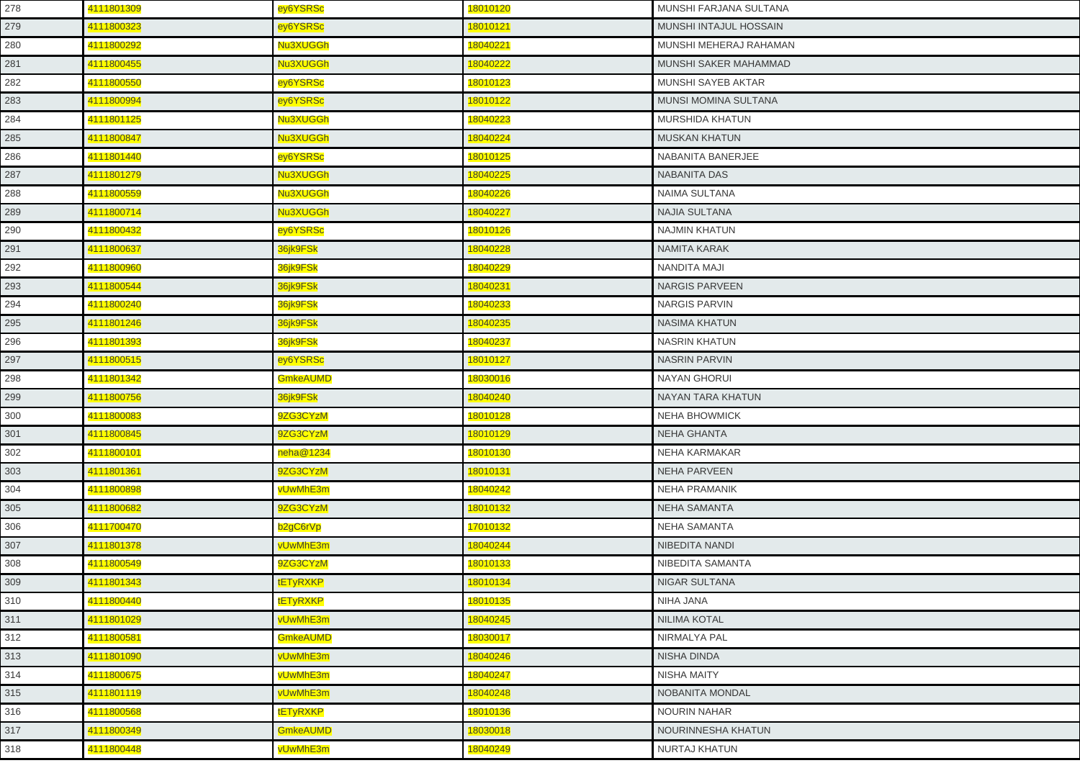| 278 | 4111801309 | ey6YSRSc        | 18010120         | MUNSHI FARJANA SULTANA |
|-----|------------|-----------------|------------------|------------------------|
| 279 | 4111800323 | ey6YSRSc        | 18010121         | MUNSHI INTAJUL HOSSAIN |
| 280 | 4111800292 | Nu3XUGGh        | 18040221         | MUNSHI MEHERAJ RAHAMAN |
| 281 | 4111800455 | Nu3XUGGh        | 18040222         | MUNSHI SAKER MAHAMMAD  |
| 282 | 4111800550 | ey6YSRSc        | 18010123         | MUNSHI SAYEB AKTAR     |
| 283 | 4111800994 | ey6YSRSc        | 18010122         | MUNSI MOMINA SULTANA   |
| 284 | 4111801125 | Nu3XUGGh        | 18040223         | MURSHIDA KHATUN        |
| 285 | 4111800847 | Nu3XUGGh        | 18040224         | <b>MUSKAN KHATUN</b>   |
| 286 | 4111801440 | ey6YSRSc        | 18010125         | NABANITA BANERJEE      |
| 287 | 4111801279 | Nu3XUGGh        | 18040225         | <b>NABANITA DAS</b>    |
| 288 | 4111800559 | Nu3XUGGh        | 18040226         | NAIMA SULTANA          |
| 289 | 4111800714 | Nu3XUGGh        | 18040227         | NAJIA SULTANA          |
| 290 | 4111800432 | ey6YSRSc        | 18010126         | <b>NAJMIN KHATUN</b>   |
| 291 | 4111800637 | 36jk9FSk        | 18040228         | NAMITA KARAK           |
| 292 | 4111800960 | 36jk9FSk        | 18040229         | <b>NANDITA MAJI</b>    |
| 293 | 4111800544 | 36jk9FSk        | 18040231         | <b>NARGIS PARVEEN</b>  |
| 294 | 4111800240 | 36jk9FSk        | 18040233         | <b>NARGIS PARVIN</b>   |
| 295 | 4111801246 | 36jk9FSk        | 18040235         | <b>NASIMA KHATUN</b>   |
| 296 | 4111801393 | 36jk9FSk        | 18040237         | <b>NASRIN KHATUN</b>   |
| 297 | 4111800515 | ey6YSRSc        | 18010127         | <b>NASRIN PARVIN</b>   |
| 298 | 4111801342 | <b>GmkeAUMD</b> | 18030016         | <b>NAYAN GHORUI</b>    |
| 299 | 4111800756 | 36jk9FSk        | 18040240         | NAYAN TARA KHATUN      |
| 300 | 4111800083 | 9ZG3CYzM        | 18010128         | <b>NEHA BHOWMICK</b>   |
| 301 | 4111800845 | 9ZG3CYzM        | 18010129         | <b>NEHA GHANTA</b>     |
| 302 | 4111800101 | neha@1234       | 18010130         | <b>NEHA KARMAKAR</b>   |
| 303 | 4111801361 | 9ZG3CYzM        | 18010131         | <b>NEHA PARVEEN</b>    |
| 304 | 4111800898 | vUwMhE3m        | 18040242         | <b>NEHA PRAMANIK</b>   |
| 305 | 4111800682 | 9ZG3CYzM        | 18010132         | <b>NEHA SAMANTA</b>    |
| 306 | 4111700470 | b2gC6rVp        | 17010132         | <b>NEHA SAMANTA</b>    |
| 307 | 4111801378 | vUwMhE3m        | 18040244         | NIBEDITA NANDI         |
| 308 | 4111800549 | 9ZG3CYzM        | 18010133         | NIBEDITA SAMANTA       |
| 309 | 4111801343 | tETyRXKP        | <u> 18010134</u> | NIGAR SULTANA          |
| 310 | 4111800440 | tETyRXKP        | 18010135         | NIHA JANA              |
| 311 | 4111801029 | vUwMhE3m        | 18040245         | NILIMA KOTAL           |
| 312 | 4111800581 | GmkeAUMD        | 18030017         | NIRMALYA PAL           |
| 313 | 4111801090 | vUwMhE3m        | 18040246         | NISHA DINDA            |
| 314 | 4111800675 | vUwMhE3m        | 18040247         | <b>NISHA MAITY</b>     |
| 315 | 4111801119 | vUwMhE3m        | 18040248         | NOBANITA MONDAL        |
| 316 | 4111800568 | tETyRXKP        | 18010136         | <b>NOURIN NAHAR</b>    |
| 317 | 4111800349 | <b>GmkeAUMD</b> | 18030018         | NOURINNESHA KHATUN     |
| 318 | 4111800448 | vUwMhE3m        | 18040249         | NURTAJ KHATUN          |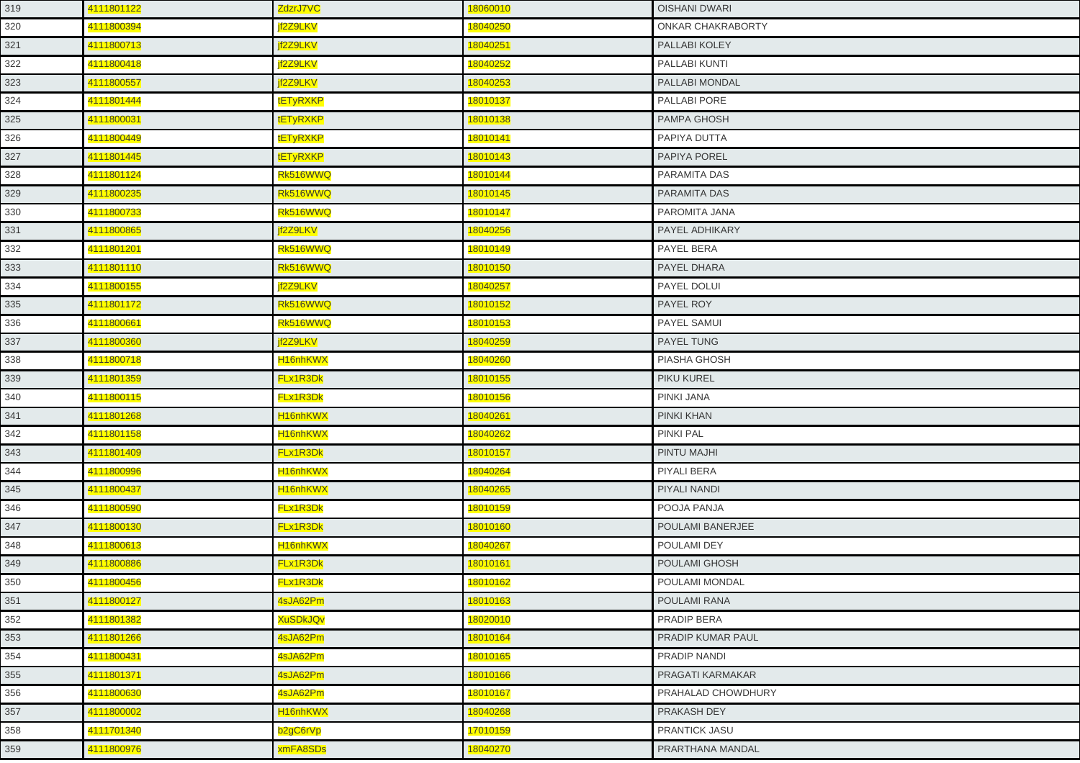| 319 | 4111801122 | ZdzrJ7VC              | 18060010 | <b>OISHANI DWARI</b>     |
|-----|------------|-----------------------|----------|--------------------------|
| 320 | 4111800394 | f <sub>2</sub> Z9LKV  | 18040250 | ONKAR CHAKRABORTY        |
| 321 | 4111800713 | <b>if2Z9LKV</b>       | 18040251 | PALLABI KOLEY            |
| 322 | 4111800418 | if2Z9LKV              | 18040252 | PALLABI KUNTI            |
| 323 | 4111800557 | if2Z9LKV              | 18040253 | PALLABI MONDAL           |
| 324 | 4111801444 | tETyRXKP              | 18010137 | PALLABI PORE             |
| 325 | 4111800031 | tETyRXKP              | 18010138 | PAMPA GHOSH              |
| 326 | 4111800449 | tETyRXKP              | 18010141 | PAPIYA DUTTA             |
| 327 | 4111801445 | tETyRXKP              | 18010143 | PAPIYA POREL             |
| 328 | 4111801124 | Rk516WWQ              | 18010144 | PARAMITA DAS             |
| 329 | 4111800235 | Rk516WWQ              | 18010145 | PARAMITA DAS             |
| 330 | 4111800733 | Rk516WWQ              | 18010147 | PAROMITA JANA            |
| 331 | 4111800865 | jf2Z9LKV              | 18040256 | PAYEL ADHIKARY           |
| 332 | 4111801201 | Rk516WWQ              | 18010149 | PAYEL BERA               |
| 333 | 4111801110 | Rk516WWQ              | 18010150 | PAYEL DHARA              |
| 334 | 4111800155 | jf2Z9LKV              | 18040257 | PAYEL DOLUI              |
| 335 | 4111801172 | Rk516WWQ              | 18010152 | PAYEL ROY                |
| 336 | 4111800661 | Rk516WWQ              | 18010153 | <b>PAYEL SAMUI</b>       |
| 337 | 4111800360 | if2Z9LKV              | 18040259 | <b>PAYEL TUNG</b>        |
| 338 | 4111800718 | H16nhKWX              | 18040260 | PIASHA GHOSH             |
| 339 | 4111801359 | FLx1R3Dk              | 18010155 | <b>PIKU KUREL</b>        |
| 340 | 4111800115 | FLx1R3Dk              | 18010156 | PINKI JANA               |
| 341 | 4111801268 | H16nhKWX              | 18040261 | PINKI KHAN               |
| 342 | 4111801158 | H16nhKWX              | 18040262 | <b>PINKI PAL</b>         |
| 343 | 4111801409 | FLx1R3Dk              | 18010157 | PINTU MAJHI              |
| 344 | 4111800996 | H16nhKWX              | 18040264 | PIYALI BERA              |
| 345 | 4111800437 | H16nhKWX              | 18040265 | PIYALI NANDI             |
| 346 | 4111800590 | FLx1R3Dk              | 18010159 | POOJA PANJA              |
| 347 | 4111800130 | FLx1R3Dk              | 18010160 | POULAMI BANERJEE         |
| 348 | 4111800613 | H16nhKWX              | 18040267 | POULAMI DEY              |
| 349 | 4111800886 | FLx1R3Dk              | 18010161 | POULAMI GHOSH            |
| 350 | 4111800456 | FLx1R3Dk              | 18010162 | POULAMI MONDAL           |
| 351 | 4111800127 | 4sJA62Pm              | 18010163 | POULAMI RANA             |
| 352 | 4111801382 | <b>XuSDkJQv</b>       | 18020010 | PRADIP BERA              |
| 353 | 4111801266 | 4sJA62Pm              | 18010164 | <b>PRADIP KUMAR PAUL</b> |
| 354 | 4111800431 | 4sJA62Pm              | 18010165 | <b>PRADIP NANDI</b>      |
| 355 | 4111801371 | 4sJA62Pm              | 18010166 | PRAGATI KARMAKAR         |
| 356 | 4111800630 | 4sJA62Pm              | 18010167 | PRAHALAD CHOWDHURY       |
| 357 | 4111800002 | H16nhKWX              | 18040268 | PRAKASH DEY              |
| 358 | 4111701340 | b <sub>2g</sub> C6rVp | 17010159 | <b>PRANTICK JASU</b>     |
| 359 | 4111800976 | xmFA8SDs              | 18040270 | PRARTHANA MANDAL         |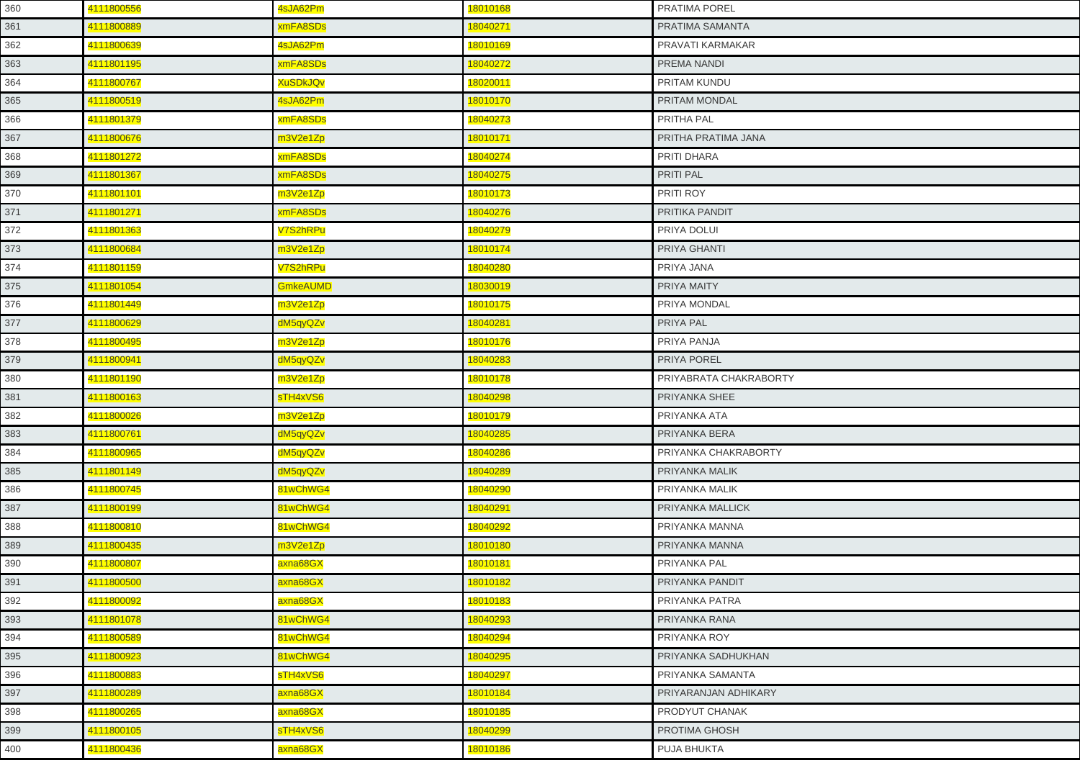| 360 | 4111800556 | 4sJA62Pm        | 18010168 | <b>PRATIMA POREL</b>    |
|-----|------------|-----------------|----------|-------------------------|
| 361 | 4111800889 | xmFA8SDs        | 18040271 | PRATIMA SAMANTA         |
| 362 | 4111800639 | 4sJA62Pm        | 18010169 | PRAVATI KARMAKAR        |
| 363 | 4111801195 | xmFA8SDs        | 18040272 | <b>PREMA NANDI</b>      |
| 364 | 4111800767 | <b>XuSDkJQv</b> | 18020011 | PRITAM KUNDU            |
| 365 | 4111800519 | 4sJA62Pm        | 18010170 | PRITAM MONDAL           |
| 366 | 4111801379 | xmFA8SDs        | 18040273 | PRITHA PAL              |
| 367 | 4111800676 | m3V2e1Zp        | 18010171 | PRITHA PRATIMA JANA     |
| 368 | 4111801272 | xmFA8SDs        | 18040274 | PRITI DHARA             |
| 369 | 4111801367 | xmFA8SDs        | 18040275 | PRITI PAL               |
| 370 | 4111801101 | m3V2e1Zp        | 18010173 | PRITI ROY               |
| 371 | 4111801271 | xmFA8SDs        | 18040276 | PRITIKA PANDIT          |
| 372 | 4111801363 | V7S2hRPu        | 18040279 | PRIYA DOLUI             |
| 373 | 4111800684 | m3V2e1Zp        | 18010174 | PRIYA GHANTI            |
| 374 | 4111801159 | V7S2hRPu        | 18040280 | PRIYA JANA              |
| 375 | 4111801054 | <b>GmkeAUMD</b> | 18030019 | <b>PRIYA MAITY</b>      |
| 376 | 4111801449 | m3V2e1Zp        | 18010175 | PRIYA MONDAL            |
| 377 | 4111800629 | dM5qyQZv        | 18040281 | <b>PRIYA PAL</b>        |
| 378 | 4111800495 | m3V2e1Zp        | 18010176 | PRIYA PANJA             |
| 379 | 4111800941 | dM5qyQZv        | 18040283 | PRIYA POREL             |
| 380 | 4111801190 | m3V2e1Zp        | 18010178 | PRIYABRATA CHAKRABORTY  |
| 381 | 4111800163 | sTH4xVS6        | 18040298 | PRIYANKA SHEE           |
| 382 | 4111800026 | m3V2e1Zp        | 18010179 | PRIYANKA ATA            |
| 383 | 4111800761 | dM5qyQZv        | 18040285 | PRIYANKA BERA           |
| 384 | 4111800965 | dM5qyQZv        | 18040286 | PRIYANKA CHAKRABORTY    |
| 385 | 4111801149 | dM5qyQZv        | 18040289 | PRIYANKA MALIK          |
| 386 | 4111800745 | 81wChWG4        | 18040290 | PRIYANKA MALIK          |
| 387 | 4111800199 | 81wChWG4        | 18040291 | <b>PRIYANKA MALLICK</b> |
| 388 | 4111800810 | 81wChWG4        | 18040292 | PRIYANKA MANNA          |
| 389 | 4111800435 | m3V2e1Zp        | 18010180 | PRIYANKA MANNA          |
| 390 | 4111800807 | axna68GX        | 18010181 | PRIYANKA PAL            |
| 391 | 4111800500 | axna68GX        | 18010182 | PRIYANKA PANDIT         |
| 392 | 4111800092 | axna68GX        | 18010183 | PRIYANKA PATRA          |
| 393 | 4111801078 | 81wChWG4        | 18040293 | PRIYANKA RANA           |
| 394 | 4111800589 | 81wChWG4        | 18040294 | PRIYANKA ROY            |
| 395 | 4111800923 | 81wChWG4        | 18040295 | PRIYANKA SADHUKHAN      |
| 396 | 4111800883 | sTH4xVS6        | 18040297 | PRIYANKA SAMANTA        |
| 397 | 4111800289 | axna68GX        | 18010184 | PRIYARANJAN ADHIKARY    |
| 398 | 4111800265 | axna68GX        | 18010185 | PRODYUT CHANAK          |
| 399 | 4111800105 | sTH4xVS6        | 18040299 | <b>PROTIMA GHOSH</b>    |
| 400 | 4111800436 | axna68GX        | 18010186 | PUJA BHUKTA             |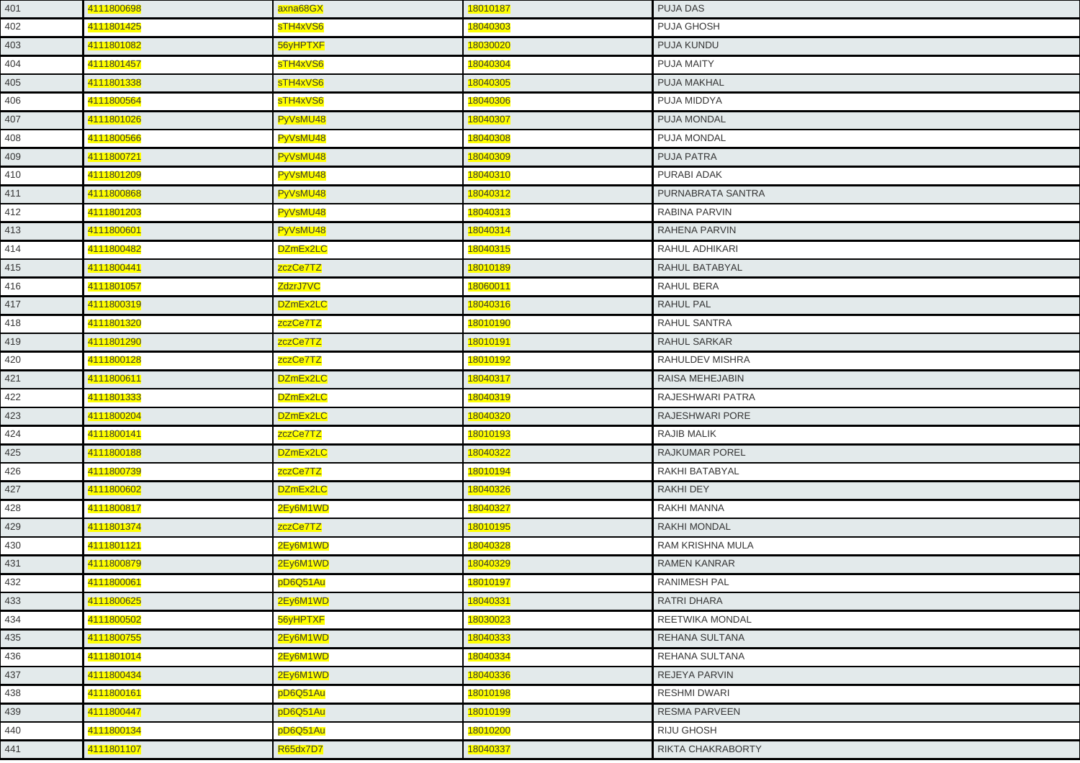| 401 | 4111800698 | axna68GX              | 18010187 | <b>PUJA DAS</b>        |
|-----|------------|-----------------------|----------|------------------------|
| 402 | 4111801425 | sTH4xVS6              | 18040303 | PUJA GHOSH             |
| 403 | 4111801082 | 56yHPTXF              | 18030020 | <b>PUJA KUNDU</b>      |
| 404 | 4111801457 | sTH4xVS6              | 18040304 | PUJA MAITY             |
| 405 | 4111801338 | sTH4xVS6              | 18040305 | PUJA MAKHAL            |
| 406 | 4111800564 | sTH4xVS6              | 18040306 | PUJA MIDDYA            |
| 407 | 4111801026 | PyVsMU48              | 18040307 | PUJA MONDAL            |
| 408 | 4111800566 | PyVsMU48              | 18040308 | PUJA MONDAL            |
| 409 | 4111800721 | PyVsMU48              | 18040309 | <b>PUJA PATRA</b>      |
| 410 | 4111801209 | PyVsMU48              | 18040310 | PURABI ADAK            |
| 411 | 4111800868 | PyVsMU48              | 18040312 | PURNABRATA SANTRA      |
| 412 | 4111801203 | PyVsMU48              | 18040313 | RABINA PARVIN          |
| 413 | 4111800601 | PyVsMU48              | 18040314 | RAHENA PARVIN          |
| 414 | 4111800482 | DZmEx2LC              | 18040315 | RAHUL ADHIKARI         |
| 415 | 4111800441 | zczCe7TZ              | 18010189 | RAHUL BATABYAL         |
| 416 | 4111801057 | ZdzrJ7VC              | 18060011 | RAHUL BERA             |
| 417 | 4111800319 | DZmEx2LC              | 18040316 | RAHUL PAL              |
| 418 | 4111801320 | zczCe7TZ              | 18010190 | <b>RAHUL SANTRA</b>    |
| 419 | 4111801290 | zczCe7TZ              | 18010191 | <b>RAHUL SARKAR</b>    |
| 420 | 4111800128 | zczCe7TZ              | 18010192 | RAHULDEV MISHRA        |
| 421 | 4111800611 | DZmEx2LC              | 18040317 | <b>RAISA MEHEJABIN</b> |
| 422 | 4111801333 | DZmEx2LC              | 18040319 | RAJESHWARI PATRA       |
| 423 | 4111800204 | DZmEx2LC              | 18040320 | <b>RAJESHWARI PORE</b> |
| 424 | 4111800141 | zczCe7TZ              | 18010193 | <b>RAJIB MALIK</b>     |
| 425 | 4111800188 | DZmEx2LC              | 18040322 | <b>RAJKUMAR POREL</b>  |
| 426 | 4111800739 | <mark>zczCe7TZ</mark> | 18010194 | RAKHI BATABYAL         |
| 427 | 4111800602 | DZmEx2LC              | 18040326 | <b>RAKHI DEY</b>       |
| 428 | 4111800817 | 2Ey6M1WD              | 18040327 | RAKHI MANNA            |
| 429 | 4111801374 | zczCe7TZ              | 18010195 | <b>RAKHI MONDAL</b>    |
| 430 | 4111801121 | 2Ey6M1WD              | 18040328 | RAM KRISHNA MULA       |
| 431 | 4111800879 | 2Ey6M1WD              | 18040329 | <b>RAMEN KANRAR</b>    |
| 432 | 4111800061 | pD6Q51Au              | 18010197 | <b>RANIMESH PAL</b>    |
| 433 | 4111800625 | 2Ey6M1WD              | 18040331 | <b>RATRI DHARA</b>     |
| 434 | 4111800502 | 56yHPTXF              | 18030023 | REETWIKA MONDAL        |
| 435 | 4111800755 | 2Ey6M1WD              | 18040333 | REHANA SULTANA         |
| 436 | 4111801014 | 2Ey6M1WD              | 18040334 | REHANA SULTANA         |
| 437 | 4111800434 | 2Ey6M1WD              | 18040336 | <b>REJEYA PARVIN</b>   |
| 438 | 4111800161 | pD6Q51Au              | 18010198 | <b>RESHMI DWARI</b>    |
| 439 | 4111800447 | pD6Q51Au              | 18010199 | <b>RESMA PARVEEN</b>   |
| 440 | 4111800134 | pD6Q51Au              | 18010200 | <b>RIJU GHOSH</b>      |
| 441 | 4111801107 | <b>R65dx7D7</b>       | 18040337 | RIKTA CHAKRABORTY      |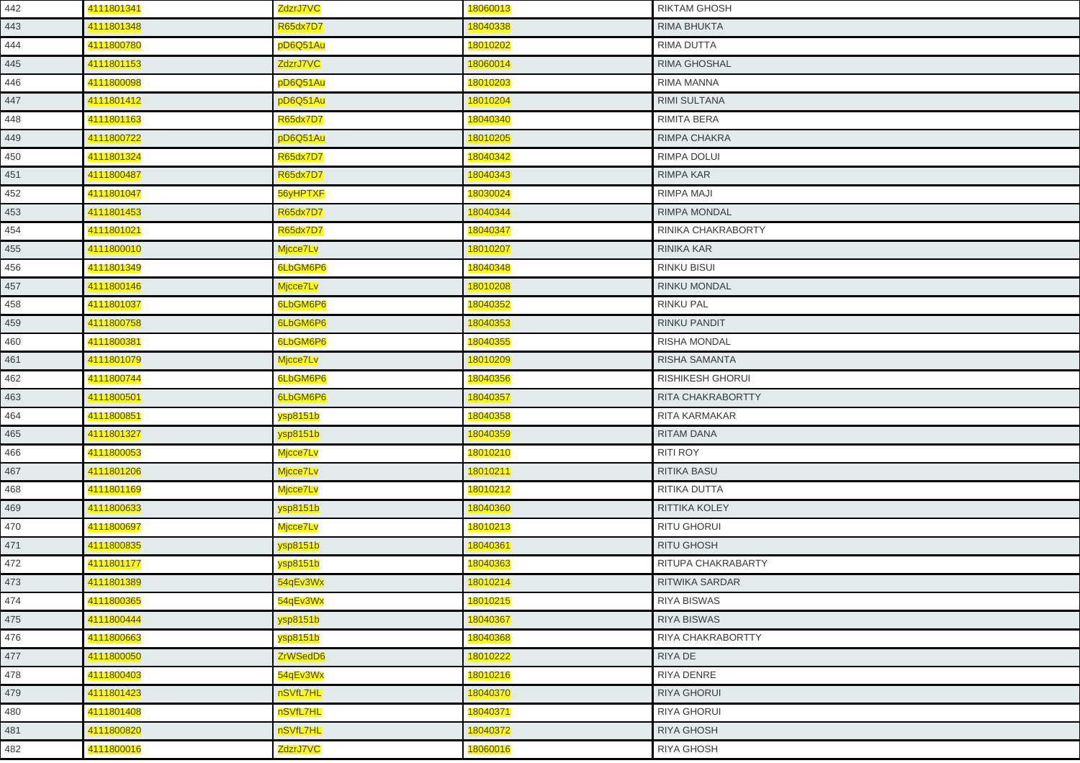| 442 | 4111801341 | ZdzrJ7VC        | 18060013 | <b>RIKTAM GHOSH</b>      |
|-----|------------|-----------------|----------|--------------------------|
| 443 | 4111801348 | <b>R65dx7D7</b> | 18040338 | <b>RIMA BHUKTA</b>       |
| 444 | 4111800780 | pD6Q51Au        | 18010202 | RIMA DUTTA               |
| 445 | 4111801153 | ZdzrJ7VC        | 18060014 | <b>RIMA GHOSHAL</b>      |
| 446 | 4111800098 | pD6Q51Au        | 18010203 | RIMA MANNA               |
| 447 | 4111801412 | pD6Q51Au        | 18010204 | <b>RIMI SULTANA</b>      |
| 448 | 4111801163 | <b>R65dx7D7</b> | 18040340 | RIMITA BERA              |
| 449 | 4111800722 | pD6Q51Au        | 18010205 | <b>RIMPA CHAKRA</b>      |
| 450 | 4111801324 | <b>R65dx7D7</b> | 18040342 | <b>RIMPA DOLUI</b>       |
| 451 | 4111800487 | <b>R65dx7D7</b> | 18040343 | <b>RIMPA KAR</b>         |
| 452 | 4111801047 | 56yHPTXF        | 18030024 | <b>RIMPA MAJI</b>        |
| 453 | 4111801453 | <b>R65dx7D7</b> | 18040344 | <b>RIMPA MONDAL</b>      |
| 454 | 4111801021 | <b>R65dx7D7</b> | 18040347 | RINIKA CHAKRABORTY       |
| 455 | 4111800010 | Mjcce7Lv        | 18010207 | <b>RINIKA KAR</b>        |
| 456 | 4111801349 | 6LbGM6P6        | 18040348 | <b>RINKU BISUI</b>       |
| 457 | 4111800146 | Mjcce7Lv        | 18010208 | <b>RINKU MONDAL</b>      |
| 458 | 4111801037 | 6LbGM6P6        | 18040352 | <b>RINKU PAL</b>         |
| 459 | 4111800758 | 6LbGM6P6        | 18040353 | <b>RINKU PANDIT</b>      |
| 460 | 4111800381 | 6LbGM6P6        | 18040355 | <b>RISHA MONDAL</b>      |
| 461 | 4111801079 | Mjcce7Lv        | 18010209 | <b>RISHA SAMANTA</b>     |
| 462 | 4111800744 | 6LbGM6P6        | 18040356 | <b>RISHIKESH GHORUI</b>  |
| 463 | 4111800501 | 6LbGM6P6        | 18040357 | <b>RITA CHAKRABORTTY</b> |
| 464 | 4111800851 | ysp8151b        | 18040358 | <b>RITA KARMAKAR</b>     |
| 465 | 4111801327 | ysp8151b        | 18040359 | <b>RITAM DANA</b>        |
| 466 | 4111800053 | Mjcce7Lv        | 18010210 | <b>RITI ROY</b>          |
| 467 | 4111801206 | Mjcce7Lv        | 18010211 | <b>RITIKA BASU</b>       |
| 468 | 4111801169 | Mjcce7Lv        | 18010212 | RITIKA DUTTA             |
| 469 | 4111800633 | ysp8151b        | 18040360 | RITTIKA KOLEY            |
| 470 | 4111800697 | Mjcce7Lv        | 18010213 | <b>RITU GHORUI</b>       |
| 471 | 4111800835 | ysp8151b        | 18040361 | <b>RITU GHOSH</b>        |
| 472 | 4111801177 | ysp8151b        | 18040363 | RITUPA CHAKRABARTY       |
| 473 | 4111801389 | 54qEv3Wx        | 18010214 | RITWIKA SARDAR           |
| 474 | 4111800365 | 54qEv3Wx        | 18010215 | <b>RIYA BISWAS</b>       |
| 475 | 4111800444 | ysp8151b        | 18040367 | <b>RIYA BISWAS</b>       |
| 476 | 4111800663 | ysp8151b        | 18040368 | RIYA CHAKRABORTTY        |
| 477 | 4111800050 | <b>ZrWSedD6</b> | 18010222 | RIYA DE                  |
| 478 | 4111800403 | 54qEv3Wx        | 18010216 | <b>RIYA DENRE</b>        |
| 479 | 4111801423 | <b>nSVfL7HL</b> | 18040370 | <b>RIYA GHORUI</b>       |
| 480 | 4111801408 | nSVfL7HL        | 18040371 | <b>RIYA GHORUI</b>       |
| 481 | 4111800820 | nSVfL7HL        | 18040372 | <b>RIYA GHOSH</b>        |
| 482 | 4111800016 | ZdzrJ7VC        | 18060016 | <b>RIYA GHOSH</b>        |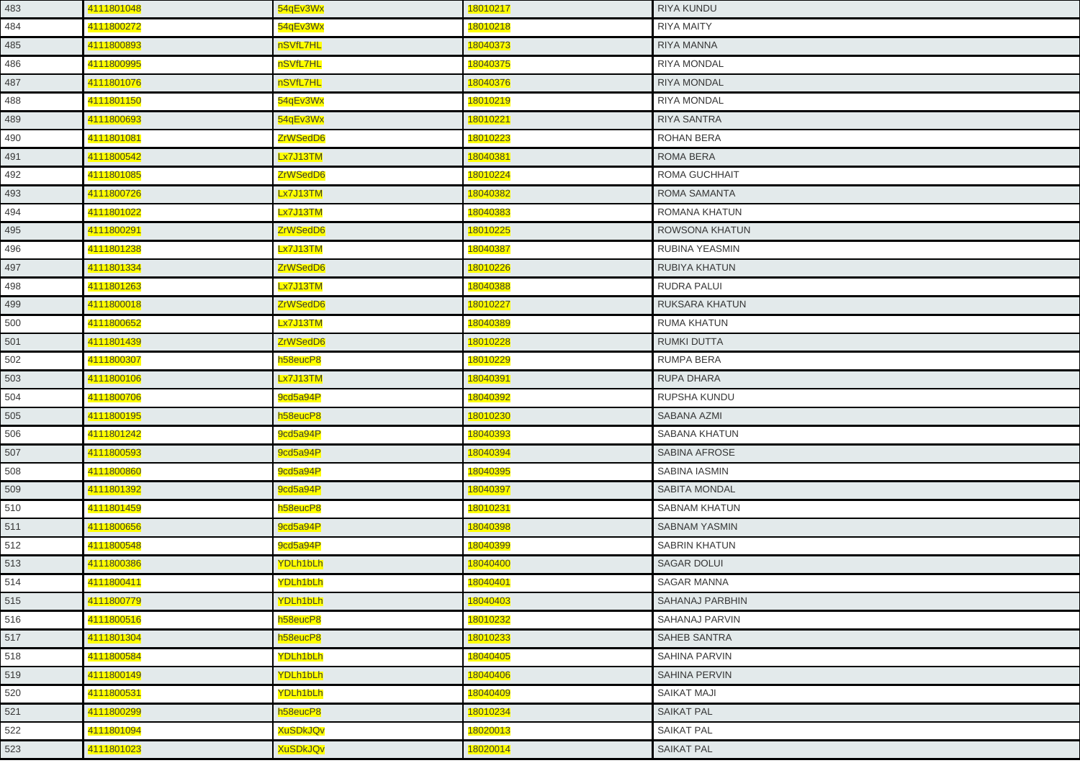| 483 | 4111801048 | 54qEv3Wx        | 18010217 | <b>RIYA KUNDU</b>     |
|-----|------------|-----------------|----------|-----------------------|
| 484 | 4111800272 | 54qEv3Wx        | 18010218 | <b>RIYA MAITY</b>     |
| 485 | 4111800893 | nSVfL7HL        | 18040373 | <b>RIYA MANNA</b>     |
| 486 | 4111800995 | nSVfL7HL        | 18040375 | <b>RIYA MONDAL</b>    |
| 487 | 4111801076 | nSVfL7HL        | 18040376 | <b>RIYA MONDAL</b>    |
| 488 | 4111801150 | 54qEv3Wx        | 18010219 | <b>RIYA MONDAL</b>    |
| 489 | 4111800693 | 54qEv3Wx        | 18010221 | <b>RIYA SANTRA</b>    |
| 490 | 4111801081 | ZrWSedD6        | 18010223 | <b>ROHAN BERA</b>     |
| 491 | 4111800542 | Lx7J13TM        | 18040381 | ROMA BERA             |
| 492 | 4111801085 | ZrWSedD6        | 18010224 | <b>ROMA GUCHHAIT</b>  |
| 493 | 4111800726 | Lx7J13TM        | 18040382 | <b>ROMA SAMANTA</b>   |
| 494 | 4111801022 | Lx7J13TM        | 18040383 | ROMANA KHATUN         |
| 495 | 4111800291 | <b>ZrWSedD6</b> | 18010225 | <b>ROWSONA KHATUN</b> |
| 496 | 4111801238 | Lx7J13TM        | 18040387 | RUBINA YEASMIN        |
| 497 | 4111801334 | ZrWSedD6        | 18010226 | RUBIYA KHATUN         |
| 498 | 4111801263 | Lx7J13TM        | 18040388 | RUDRA PALUI           |
| 499 | 4111800018 | ZrWSedD6        | 18010227 | RUKSARA KHATUN        |
| 500 | 4111800652 | Lx7J13TM        | 18040389 | RUMA KHATUN           |
| 501 | 4111801439 | ZrWSedD6        | 18010228 | <b>RUMKI DUTTA</b>    |
| 502 | 4111800307 | h58eucP8        | 18010229 | <b>RUMPA BERA</b>     |
| 503 | 4111800106 | Lx7J13TM        | 18040391 | <b>RUPA DHARA</b>     |
| 504 | 4111800706 | 9cd5a94P        | 18040392 | RUPSHA KUNDU          |
| 505 | 4111800195 | h58eucP8        | 18010230 | SABANA AZMI           |
| 506 | 4111801242 | 9cd5a94P        | 18040393 | <b>SABANA KHATUN</b>  |
| 507 | 4111800593 | 9cd5a94P        | 18040394 | <b>SABINA AFROSE</b>  |
| 508 | 4111800860 | 9cd5a94P        | 18040395 | <b>SABINA IASMIN</b>  |
| 509 | 4111801392 | 9cd5a94P        | 18040397 | <b>SABITA MONDAL</b>  |
| 510 | 4111801459 | h58eucP8        | 18010231 | <b>SABNAM KHATUN</b>  |
| 511 | 4111800656 | 9cd5a94P        | 18040398 | <b>SABNAM YASMIN</b>  |
| 512 | 4111800548 | 9cd5a94P        | 18040399 | <b>SABRIN KHATUN</b>  |
| 513 | 4111800386 | YDLh1bLh        | 18040400 | <b>SAGAR DOLUI</b>    |
| 514 | 4111800411 | YDLh1bLh        | 18040401 | <b>SAGAR MANNA</b>    |
| 515 | 4111800779 | YDLh1bLh        | 18040403 | SAHANAJ PARBHIN       |
| 516 | 4111800516 | h58eucP8        | 18010232 | <b>SAHANAJ PARVIN</b> |
| 517 | 4111801304 | h58eucP8        | 18010233 | <b>SAHEB SANTRA</b>   |
| 518 | 4111800584 | YDLh1bLh        | 18040405 | <b>SAHINA PARVIN</b>  |
| 519 | 4111800149 | YDLh1bLh        | 18040406 | <b>SAHINA PERVIN</b>  |
| 520 | 4111800531 | YDLh1bLh        | 18040409 | <b>SAIKAT MAJI</b>    |
| 521 | 4111800299 | h58eucP8        | 18010234 | <b>SAIKAT PAL</b>     |
| 522 | 4111801094 | <b>XuSDkJQv</b> | 18020013 | <b>SAIKAT PAL</b>     |
| 523 | 4111801023 | <b>XuSDkJQv</b> | 18020014 | <b>SAIKAT PAL</b>     |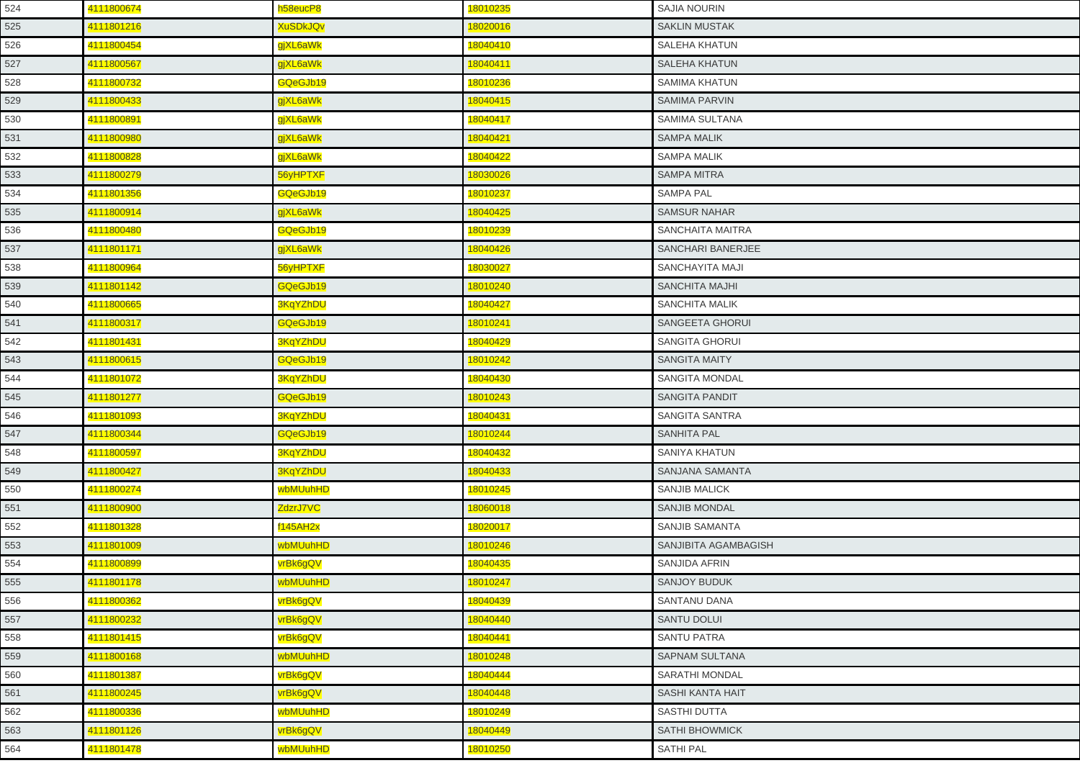| 524 | 4111800674 | h58eucP8        | 18010235 | <b>SAJIA NOURIN</b>         |
|-----|------------|-----------------|----------|-----------------------------|
| 525 | 4111801216 | <b>XuSDkJQv</b> | 18020016 | <b>SAKLIN MUSTAK</b>        |
| 526 | 4111800454 | gjXL6aWk        | 18040410 | <b>SALEHA KHATUN</b>        |
| 527 | 4111800567 | gjXL6aWk        | 18040411 | <b>SALEHA KHATUN</b>        |
| 528 | 4111800732 | GQeGJb19        | 18010236 | <b>SAMIMA KHATUN</b>        |
| 529 | 4111800433 | gjXL6aWk        | 18040415 | <b>SAMIMA PARVIN</b>        |
| 530 | 4111800891 | gjXL6aWk        | 18040417 | SAMIMA SULTANA              |
| 531 | 4111800980 | gjXL6aWk        | 18040421 | <b>SAMPA MALIK</b>          |
| 532 | 4111800828 | gjXL6aWk        | 18040422 | <b>SAMPA MALIK</b>          |
| 533 | 4111800279 | 56yHPTXF        | 18030026 | <b>SAMPA MITRA</b>          |
| 534 | 4111801356 | GQeGJb19        | 18010237 | <b>SAMPA PAL</b>            |
| 535 | 4111800914 | gjXL6aWk        | 18040425 | <b>SAMSUR NAHAR</b>         |
| 536 | 4111800480 | GQeGJb19        | 18010239 | SANCHAITA MAITRA            |
| 537 | 4111801171 | gjXL6aWk        | 18040426 | SANCHARI BANERJEE           |
| 538 | 4111800964 | 56yHPTXF        | 18030027 | SANCHAYITA MAJI             |
| 539 | 4111801142 | GQeGJb19        | 18010240 | <b>SANCHITA MAJHI</b>       |
| 540 | 4111800665 | 3KqYZhDU        | 18040427 | <b>SANCHITA MALIK</b>       |
| 541 | 4111800317 | GQeGJb19        | 18010241 | <b>SANGEETA GHORUI</b>      |
| 542 | 4111801431 | <b>3KqYZhDU</b> | 18040429 | <b>SANGITA GHORUI</b>       |
| 543 | 4111800615 | GQeGJb19        | 18010242 | <b>SANGITA MAITY</b>        |
| 544 | 4111801072 | 3KqYZhDU        | 18040430 | <b>SANGITA MONDAL</b>       |
| 545 | 4111801277 | GQeGJb19        | 18010243 | <b>SANGITA PANDIT</b>       |
| 546 | 4111801093 | 3KqYZhDU        | 18040431 | SANGITA SANTRA              |
| 547 | 4111800344 | GQeGJb19        | 18010244 | <b>SANHITA PAL</b>          |
| 548 | 4111800597 | <b>3KgYZhDU</b> | 18040432 | <b>SANIYA KHATUN</b>        |
| 549 | 4111800427 | <b>3KqYZhDU</b> | 18040433 | SANJANA SAMANTA             |
| 550 | 4111800274 | <b>wbMUuhHD</b> | 18010245 | <b>SANJIB MALICK</b>        |
| 551 | 4111800900 | ZdzrJ7VC        | 18060018 | <b>SANJIB MONDAL</b>        |
| 552 | 4111801328 | f145AH2x        | 18020017 | SANJIB SAMANTA              |
| 553 | 4111801009 | <b>wbMUuhHD</b> | 18010246 | <b>SANJIBITA AGAMBAGISH</b> |
| 554 | 4111800899 | vrBk6gQV        | 18040435 | SANJIDA AFRIN               |
| 555 | 4111801178 | wbMUuhHD        | 18010247 | <b>SANJOY BUDUK</b>         |
| 556 | 4111800362 | vrBk6gQV        | 18040439 | <b>SANTANU DANA</b>         |
| 557 | 4111800232 | vrBk6gQV        | 18040440 | <b>SANTU DOLUI</b>          |
| 558 | 4111801415 | vrBk6gQV        | 18040441 | <b>SANTU PATRA</b>          |
| 559 | 4111800168 | <b>wbMUuhHD</b> | 18010248 | <b>SAPNAM SULTANA</b>       |
| 560 | 4111801387 | vrBk6gQV        | 18040444 | SARATHI MONDAL              |
| 561 | 4111800245 | vrBk6gQV        | 18040448 | SASHI KANTA HAIT            |
| 562 | 4111800336 | wbMUuhHD        | 18010249 | <b>SASTHI DUTTA</b>         |
| 563 | 4111801126 | vrBk6gQV        | 18040449 | <b>SATHI BHOWMICK</b>       |
| 564 | 4111801478 | wbMUuhHD        | 18010250 | <b>SATHI PAL</b>            |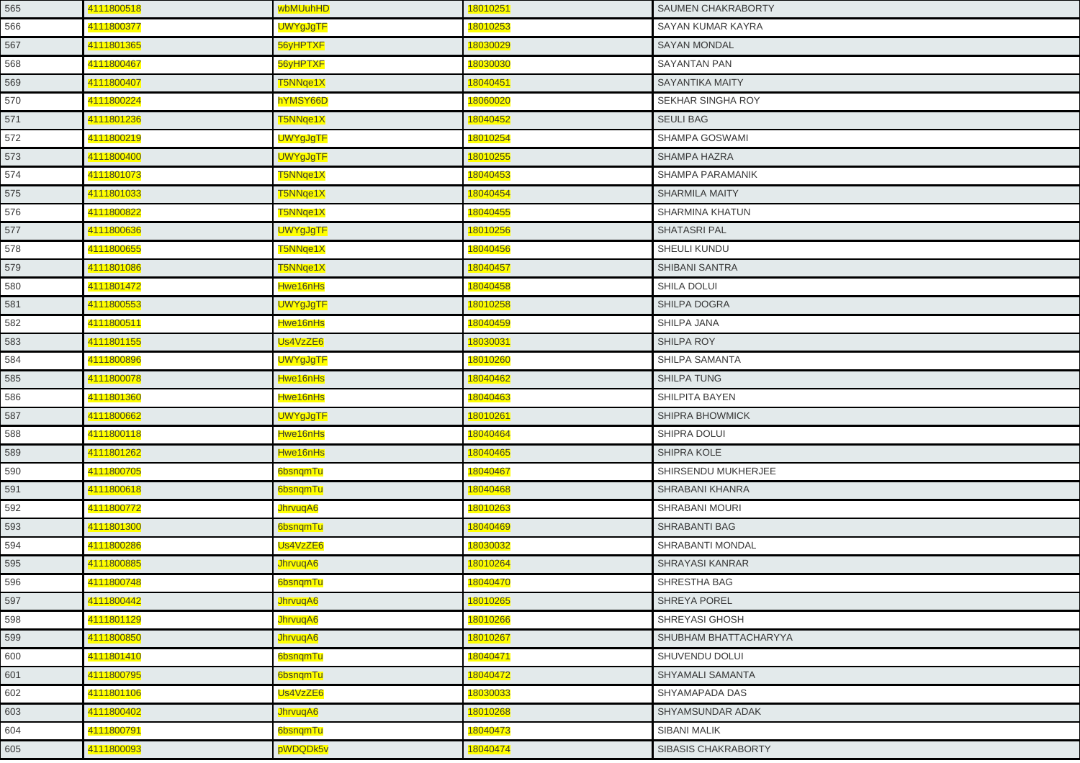| 565 | 4111800518 | wbMUuhHD        | 18010251 | <b>SAUMEN CHAKRABORTY</b>  |
|-----|------------|-----------------|----------|----------------------------|
| 566 | 4111800377 | <b>UWYgJgTF</b> | 18010253 | SAYAN KUMAR KAYRA          |
| 567 | 4111801365 | 56yHPTXF        | 18030029 | <b>SAYAN MONDAL</b>        |
| 568 | 4111800467 | 56yHPTXF        | 18030030 | <b>SAYANTAN PAN</b>        |
| 569 | 4111800407 | T5NNqe1X        | 18040451 | <b>SAYANTIKA MAITY</b>     |
| 570 | 4111800224 | hYMSY66D        | 18060020 | <b>SEKHAR SINGHA ROY</b>   |
| 571 | 4111801236 | T5NNqe1X        | 18040452 | <b>SEULI BAG</b>           |
| 572 | 4111800219 | UWYgJgTF        | 18010254 | <b>SHAMPA GOSWAMI</b>      |
| 573 | 4111800400 | <b>UWYgJgTF</b> | 18010255 | <b>SHAMPA HAZRA</b>        |
| 574 | 4111801073 | T5NNqe1X        | 18040453 | SHAMPA PARAMANIK           |
| 575 | 4111801033 | T5NNqe1X        | 18040454 | <b>SHARMILA MAITY</b>      |
| 576 | 4111800822 | T5NNqe1X        | 18040455 | <b>SHARMINA KHATUN</b>     |
| 577 | 4111800636 | <b>UWYgJgTF</b> | 18010256 | <b>SHATASRI PAL</b>        |
| 578 | 4111800655 | T5NNqe1X        | 18040456 | <b>SHEULI KUNDU</b>        |
| 579 | 4111801086 | T5NNqe1X        | 18040457 | <b>SHIBANI SANTRA</b>      |
| 580 | 4111801472 | Hwe16nHs        | 18040458 | <b>SHILA DOLUI</b>         |
| 581 | 4111800553 | UWYgJgTF        | 18010258 | SHILPA DOGRA               |
| 582 | 4111800511 | Hwe16nHs        | 18040459 | SHILPA JANA                |
| 583 | 4111801155 | Us4VzZE6        | 18030031 | <b>SHILPA ROY</b>          |
| 584 | 4111800896 | UWYgJgTF        | 18010260 | SHILPA SAMANTA             |
| 585 | 4111800078 | Hwe16nHs        | 18040462 | <b>SHILPA TUNG</b>         |
| 586 | 4111801360 | Hwe16nHs        | 18040463 | SHILPITA BAYEN             |
| 587 | 4111800662 | <b>UWYgJgTF</b> | 18010261 | <b>SHIPRA BHOWMICK</b>     |
| 588 | 4111800118 | Hwe16nHs        | 18040464 | SHIPRA DOLUI               |
| 589 | 4111801262 | Hwe16nHs        | 18040465 | SHIPRA KOLE                |
| 590 | 4111800705 | 6bsnqmTu        | 18040467 | SHIRSENDU MUKHERJEE        |
| 591 | 4111800618 | 6bsnqmTu        | 18040468 | <b>SHRABANI KHANRA</b>     |
| 592 | 4111800772 | JhrvuqA6        | 18010263 | <b>SHRABANI MOURI</b>      |
| 593 | 4111801300 | 6bsnqmTu        | 18040469 | <b>SHRABANTI BAG</b>       |
| 594 | 4111800286 | Us4VzZE6        | 18030032 | SHRABANTI MONDAL           |
| 595 | 4111800885 | <b>JhrvuqA6</b> | 18010264 | <b>SHRAYASI KANRAR</b>     |
| 596 | 4111800748 | 6bsnqmTu        | 18040470 | SHRESTHA BAG               |
| 597 | 4111800442 | <b>JhrvuqA6</b> | 18010265 | <b>SHREYA POREL</b>        |
| 598 | 4111801129 | <b>JhrvuqA6</b> | 18010266 | SHREYASI GHOSH             |
| 599 | 4111800850 | <b>JhrvuqA6</b> | 18010267 | SHUBHAM BHATTACHARYYA      |
| 600 | 4111801410 | 6bsnqmTu        | 18040471 | SHUVENDU DOLUI             |
| 601 | 4111800795 | 6bsnqmTu        | 18040472 | <b>SHYAMALI SAMANTA</b>    |
| 602 | 4111801106 | Us4VzZE6        | 18030033 | SHYAMAPADA DAS             |
| 603 | 4111800402 | <b>JhrvuqA6</b> | 18010268 | SHYAMSUNDAR ADAK           |
| 604 | 4111800791 | 6bsnqmTu        | 18040473 | <b>SIBANI MALIK</b>        |
| 605 | 4111800093 | pWDQDk5v        | 18040474 | <b>SIBASIS CHAKRABORTY</b> |
|     |            |                 |          |                            |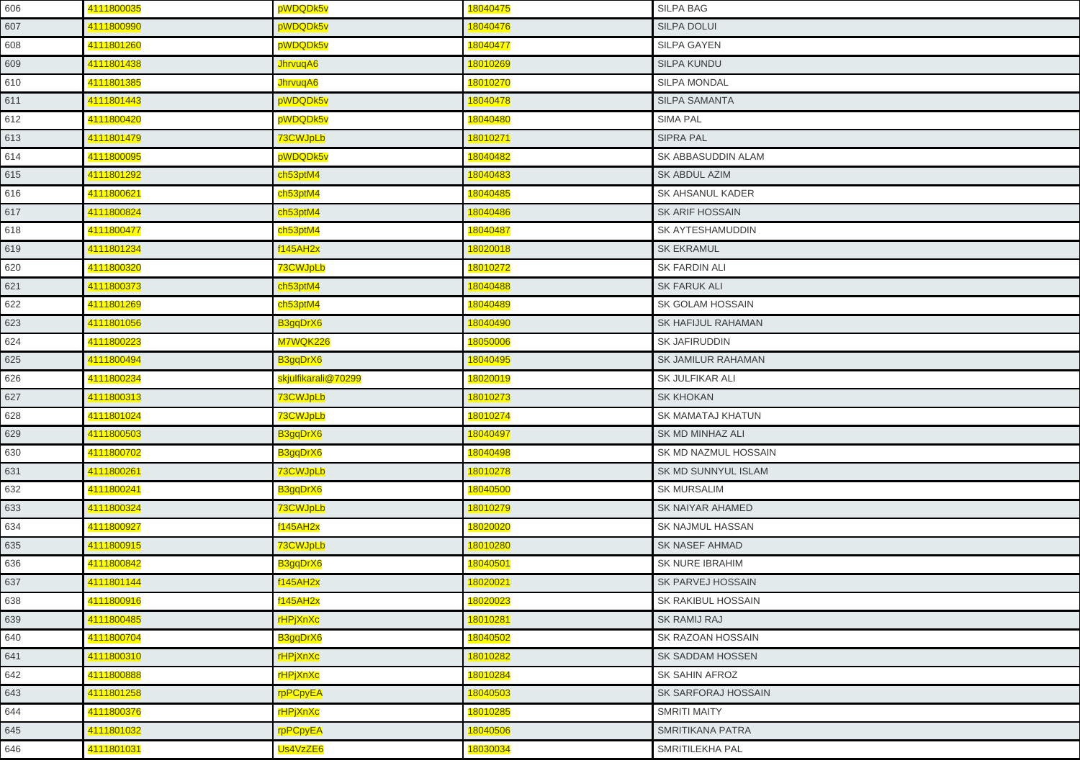| 606 | 4111800035 | pWDQDk5v            | 18040475 | <b>SILPA BAG</b>           |
|-----|------------|---------------------|----------|----------------------------|
| 607 | 4111800990 | pWDQDk5v            | 18040476 | <b>SILPA DOLUI</b>         |
| 608 | 4111801260 | pWDQDk5v            | 18040477 | <b>SILPA GAYEN</b>         |
| 609 | 4111801438 | <b>JhrvuqA6</b>     | 18010269 | <b>SILPA KUNDU</b>         |
| 610 | 4111801385 | <b>JhrvuqA6</b>     | 18010270 | <b>SILPA MONDAL</b>        |
| 611 | 4111801443 | pWDQDk5v            | 18040478 | <b>SILPA SAMANTA</b>       |
| 612 | 4111800420 | pWDQDk5v            | 18040480 | SIMA PAL                   |
| 613 | 4111801479 | 73CWJpLb            | 18010271 | <b>SIPRA PAL</b>           |
| 614 | 4111800095 | pWDQDk5v            | 18040482 | SK ABBASUDDIN ALAM         |
| 615 | 4111801292 | ch53ptM4            | 18040483 | <b>SK ABDUL AZIM</b>       |
| 616 | 4111800621 | ch53ptM4            | 18040485 | SK AHSANUL KADER           |
| 617 | 4111800824 | ch53ptM4            | 18040486 | <b>SK ARIF HOSSAIN</b>     |
| 618 | 4111800477 | ch53ptM4            | 18040487 | SK AYTESHAMUDDIN           |
| 619 | 4111801234 | f145AH2x            | 18020018 | <b>SK EKRAMUL</b>          |
| 620 | 4111800320 | 73CWJpLb            | 18010272 | SK FARDIN ALI              |
| 621 | 4111800373 | ch53ptM4            | 18040488 | <b>SK FARUK ALI</b>        |
| 622 | 4111801269 | ch53ptM4            | 18040489 | SK GOLAM HOSSAIN           |
| 623 | 4111801056 | B3gqDrX6            | 18040490 | SK HAFIJUL RAHAMAN         |
| 624 | 4111800223 | M7WQK226            | 18050006 | SK JAFIRUDDIN              |
| 625 | 4111800494 | B3gqDrX6            | 18040495 | SK JAMILUR RAHAMAN         |
| 626 | 4111800234 | skjulfikarali@70299 | 18020019 | SK JULFIKAR ALI            |
| 627 | 4111800313 | 73CWJpLb            | 18010273 | <b>SK KHOKAN</b>           |
| 628 | 4111801024 | 73CWJpLb            | 18010274 | SK MAMATAJ KHATUN          |
| 629 | 4111800503 | B3gqDrX6            | 18040497 | SK MD MINHAZ ALI           |
| 630 | 4111800702 | B3gqDrX6            | 18040498 | SK MD NAZMUL HOSSAIN       |
| 631 | 4111800261 | 73CWJpLb            | 18010278 | <b>SK MD SUNNYUL ISLAM</b> |
| 632 | 4111800241 | B3gqDrX6            | 18040500 | <b>SK MURSALIM</b>         |
| 633 | 4111800324 | 73CWJpLb            | 18010279 | SK NAIYAR AHAMED           |
| 634 | 4111800927 | f145AH2x            | 18020020 | SK NAJMUL HASSAN           |
| 635 | 4111800915 | 73CWJpLb            | 18010280 | <b>SK NASEF AHMAD</b>      |
| 636 | 4111800842 | B3gqDrX6            | 18040501 | <b>SK NURE IBRAHIM</b>     |
| 637 | 4111801144 | <b>f145AH2x</b>     | 18020021 | <b>SK PARVEJ HOSSAIN</b>   |
| 638 | 4111800916 | <b>f145AH2x</b>     | 18020023 | SK RAKIBUL HOSSAIN         |
| 639 | 4111800485 | rHPjXnXc            | 18010281 | <b>SK RAMIJ RAJ</b>        |
| 640 | 4111800704 | B3gqDrX6            | 18040502 | SK RAZOAN HOSSAIN          |
| 641 | 4111800310 | rHPjXnXc            | 18010282 | <b>SK SADDAM HOSSEN</b>    |
| 642 | 4111800888 | <b>rHPjXnXc</b>     | 18010284 | SK SAHIN AFROZ             |
| 643 | 4111801258 | rpPCpyEA            | 18040503 | SK SARFORAJ HOSSAIN        |
| 644 | 4111800376 | <u>rHPjXnXc</u>     | 18010285 | <b>SMRITI MAITY</b>        |
| 645 | 4111801032 | rpPCpyEA            | 18040506 | <b>SMRITIKANA PATRA</b>    |
| 646 | 4111801031 | Us4VzZE6            | 18030034 | SMRITILEKHA PAL            |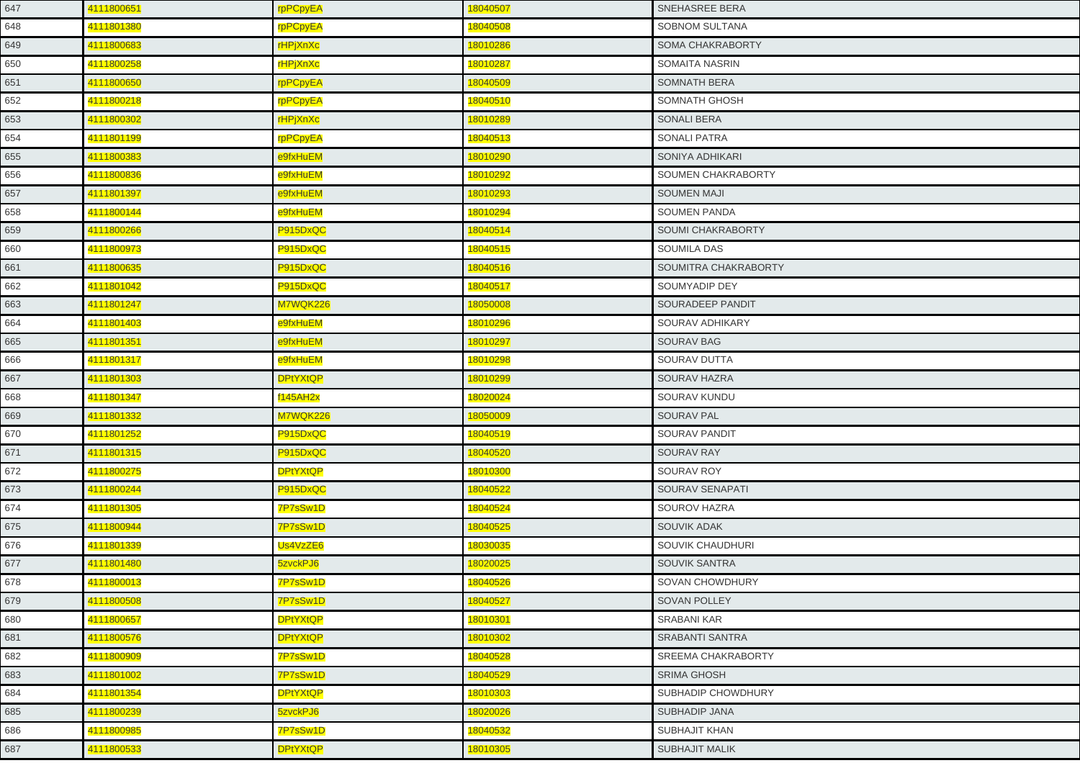| 647 | 4111800651 | rpPCpyEA        | 18040507 | SNEHASREE BERA            |
|-----|------------|-----------------|----------|---------------------------|
| 648 | 4111801380 | rpPCpyEA        | 18040508 | SOBNOM SULTANA            |
| 649 | 4111800683 | rHPjXnXc        | 18010286 | <b>SOMA CHAKRABORTY</b>   |
| 650 | 4111800258 | <b>rHPjXnXc</b> | 18010287 | SOMAITA NASRIN            |
| 651 | 4111800650 | rpPCpyEA        | 18040509 | <b>SOMNATH BERA</b>       |
| 652 | 4111800218 | rpPCpyEA        | 18040510 | SOMNATH GHOSH             |
| 653 | 4111800302 | rHPjXnXc        | 18010289 | <b>SONALI BERA</b>        |
| 654 | 4111801199 | rpPCpyEA        | 18040513 | <b>SONALI PATRA</b>       |
| 655 | 4111800383 | e9fxHuEM        | 18010290 | SONIYA ADHIKARI           |
| 656 | 4111800836 | e9fxHuEM        | 18010292 | SOUMEN CHAKRABORTY        |
| 657 | 4111801397 | e9fxHuEM        | 18010293 | <b>SOUMEN MAJI</b>        |
| 658 | 4111800144 | e9fxHuEM        | 18010294 | <b>SOUMEN PANDA</b>       |
| 659 | 4111800266 | P915DxQC        | 18040514 | SOUMI CHAKRABORTY         |
| 660 | 4111800973 | P915DxQC        | 18040515 | <b>SOUMILA DAS</b>        |
| 661 | 4111800635 | P915DxQC        | 18040516 | SOUMITRA CHAKRABORTY      |
| 662 | 4111801042 | P915DxQC        | 18040517 | SOUMYADIP DEY             |
| 663 | 4111801247 | <b>M7WQK226</b> | 18050008 | SOURADEEP PANDIT          |
| 664 | 4111801403 | e9fxHuEM        | 18010296 | SOURAV ADHIKARY           |
| 665 | 4111801351 | e9fxHuEM        | 18010297 | <b>SOURAV BAG</b>         |
| 666 | 4111801317 | e9fxHuEM        | 18010298 | SOURAV DUTTA              |
| 667 | 4111801303 | <b>DPtYXtQP</b> | 18010299 | SOURAV HAZRA              |
| 668 | 4111801347 | f145AH2x        | 18020024 | SOURAV KUNDU              |
| 669 | 4111801332 | M7WQK226        | 18050009 | <b>SOURAV PAL</b>         |
| 670 | 4111801252 | P915DxQC        | 18040519 | SOURAV PANDIT             |
| 671 | 4111801315 | P915DxQC        | 18040520 | <b>SOURAV RAY</b>         |
| 672 | 4111800275 | <b>DPtYXtQP</b> | 18010300 | SOURAV ROY                |
| 673 | 4111800244 | P915DxQC        | 18040522 | SOURAV SENAPATI           |
| 674 | 4111801305 | 7P7sSw1D        | 18040524 | <b>SOUROV HAZRA</b>       |
| 675 | 4111800944 | 7P7sSw1D        | 18040525 | <b>SOUVIK ADAK</b>        |
| 676 | 4111801339 | Us4VzZE6        | 18030035 | SOUVIK CHAUDHURI          |
| 677 | 4111801480 | 5zvckPJ6        | 18020025 | <b>SOUVIK SANTRA</b>      |
| 678 | 4111800013 | 7P7sSw1D        | 18040526 | SOVAN CHOWDHURY           |
| 679 | 4111800508 | 7P7sSw1D        | 18040527 | <b>SOVAN POLLEY</b>       |
| 680 | 4111800657 | <b>DPtYXtQP</b> | 18010301 | <b>SRABANI KAR</b>        |
| 681 | 4111800576 | <b>DPtYXtQP</b> | 18010302 | <b>SRABANTI SANTRA</b>    |
| 682 | 4111800909 | 7P7sSw1D        | 18040528 | <b>SREEMA CHAKRABORTY</b> |
| 683 | 4111801002 | 7P7sSw1D        | 18040529 | <b>SRIMA GHOSH</b>        |
| 684 | 4111801354 | <b>DPtYXtQP</b> | 18010303 | SUBHADIP CHOWDHURY        |
| 685 | 4111800239 | 5zvckPJ6        | 18020026 | <b>SUBHADIP JANA</b>      |
| 686 | 4111800985 | 7P7sSw1D        | 18040532 | <b>SUBHAJIT KHAN</b>      |
| 687 | 4111800533 | <b>DPtYXtQP</b> | 18010305 | <b>SUBHAJIT MALIK</b>     |
|     |            |                 |          |                           |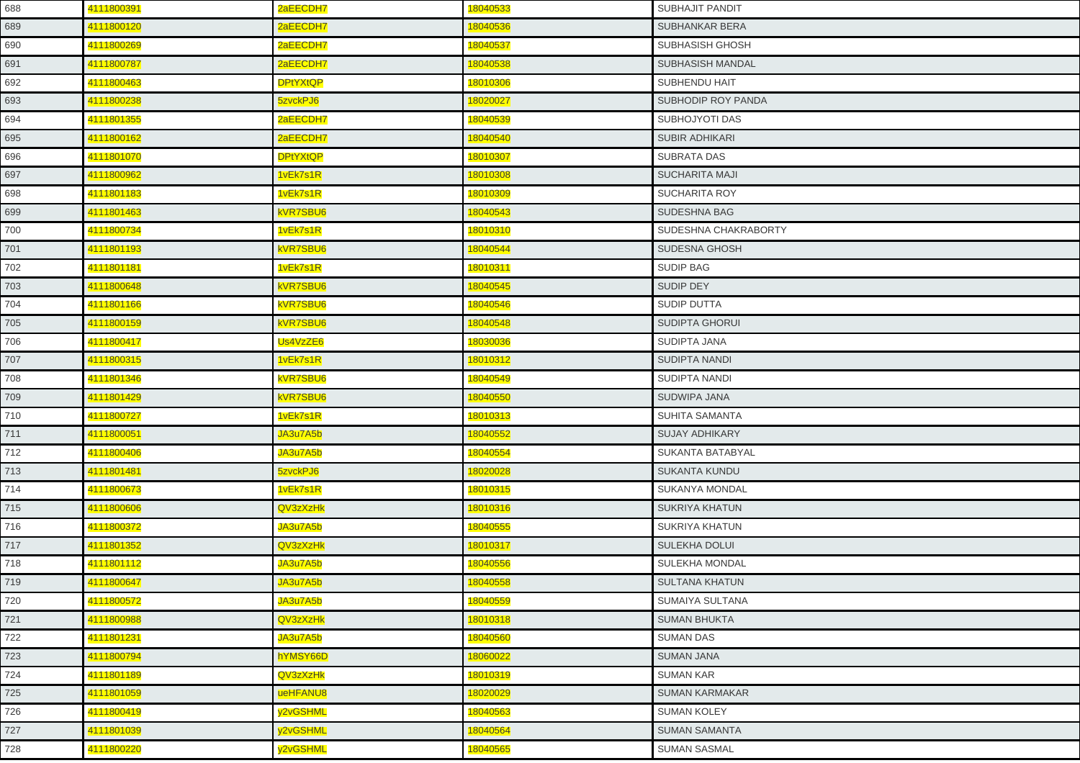| 688 | 4111800391 | 2aEECDH7        | 18040533 | SUBHAJIT PANDIT       |
|-----|------------|-----------------|----------|-----------------------|
| 689 | 4111800120 | 2aEECDH7        | 18040536 | SUBHANKAR BERA        |
| 690 | 4111800269 | 2aEECDH7        | 18040537 | SUBHASISH GHOSH       |
| 691 | 4111800787 | 2aEECDH7        | 18040538 | SUBHASISH MANDAL      |
| 692 | 4111800463 | <b>DPtYXtQP</b> | 18010306 | SUBHENDU HAIT         |
| 693 | 4111800238 | 5zvckPJ6        | 18020027 | SUBHODIP ROY PANDA    |
| 694 | 4111801355 | 2aEECDH7        | 18040539 | SUBHOJYOTI DAS        |
| 695 | 4111800162 | 2aEECDH7        | 18040540 | <b>SUBIR ADHIKARI</b> |
| 696 | 4111801070 | <b>DPtYXtQP</b> | 18010307 | SUBRATA DAS           |
| 697 | 4111800962 | 1vEk7s1R        | 18010308 | <b>SUCHARITA MAJI</b> |
| 698 | 4111801183 | 1vEk7s1R        | 18010309 | <b>SUCHARITA ROY</b>  |
| 699 | 4111801463 | <b>kVR7SBU6</b> | 18040543 | <b>SUDESHNA BAG</b>   |
| 700 | 4111800734 | 1vEk7s1R        | 18010310 | SUDESHNA CHAKRABORTY  |
| 701 | 4111801193 | <b>kVR7SBU6</b> | 18040544 | <b>SUDESNA GHOSH</b>  |
| 702 | 4111801181 | 1vEk7s1R        | 18010311 | <b>SUDIP BAG</b>      |
| 703 | 4111800648 | kVR7SBU6        | 18040545 | SUDIP DEY             |
| 704 | 4111801166 | kVR7SBU6        | 18040546 | SUDIP DUTTA           |
| 705 | 4111800159 | <b>kVR7SBU6</b> | 18040548 | <b>SUDIPTA GHORUI</b> |
| 706 | 4111800417 | Us4VzZE6        | 18030036 | <b>SUDIPTA JANA</b>   |
| 707 | 4111800315 | 1vEk7s1R        | 18010312 | <b>SUDIPTA NANDI</b>  |
| 708 | 4111801346 | kVR7SBU6        | 18040549 | SUDIPTA NANDI         |
| 709 | 4111801429 | <b>kVR7SBU6</b> | 18040550 | SUDWIPA JANA          |
| 710 | 4111800727 | 1vEk7s1R        | 18010313 | SUHITA SAMANTA        |
| 711 | 4111800051 | JA3u7A5b        | 18040552 | <b>SUJAY ADHIKARY</b> |
| 712 | 4111800406 | JA3u7A5b        | 18040554 | SUKANTA BATABYAL      |
| 713 | 4111801481 | 5zvckPJ6        | 18020028 | <b>SUKANTA KUNDU</b>  |
| 714 | 4111800673 | 1vEk7s1R        | 18010315 | SUKANYA MONDAL        |
| 715 | 4111800606 | QV3zXzHk        | 18010316 | <b>SUKRIYA KHATUN</b> |
| 716 | 4111800372 | JA3u7A5b        | 18040555 | SUKRIYA KHATUN        |
| 717 | 4111801352 | QV3zXzHk        | 18010317 | <b>SULEKHA DOLUI</b>  |
| 718 | 4111801112 | JA3u7A5b        | 18040556 | SULEKHA MONDAL        |
| 719 | 4111800647 | JA3u7A5b        | 18040558 | <b>SULTANA KHATUN</b> |
| 720 | 4111800572 | JA3u7A5b        | 18040559 | SUMAIYA SULTANA       |
| 721 | 4111800988 | QV3zXzHk        | 18010318 | <b>SUMAN BHUKTA</b>   |
| 722 | 4111801231 | JA3u7A5b        | 18040560 | <b>SUMAN DAS</b>      |
| 723 | 4111800794 | hYMSY66D        | 18060022 | <b>SUMAN JANA</b>     |
| 724 | 4111801189 | QV3zXzHk        | 18010319 | <b>SUMAN KAR</b>      |
| 725 | 4111801059 | ueHFANU8        | 18020029 | <b>SUMAN KARMAKAR</b> |
| 726 | 4111800419 | y2vGSHML        | 18040563 | <b>SUMAN KOLEY</b>    |
| 727 | 4111801039 | y2vGSHML        | 18040564 | <b>SUMAN SAMANTA</b>  |
| 728 | 4111800220 | y2vGSHML        | 18040565 | <b>SUMAN SASMAL</b>   |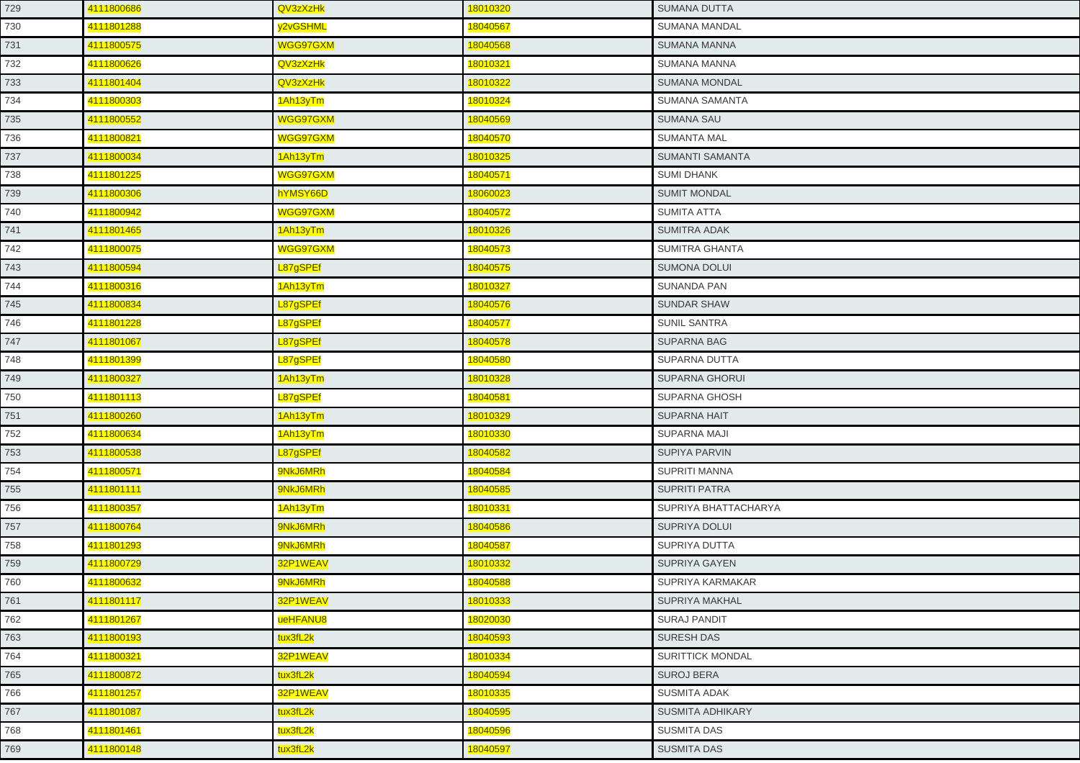| 729 | 4111800686 | QV3zXzHk | 18010320 | <b>SUMANA DUTTA</b>     |
|-----|------------|----------|----------|-------------------------|
| 730 | 4111801288 | y2vGSHML | 18040567 | SUMANA MANDAL           |
| 731 | 4111800575 | WGG97GXM | 18040568 | <b>SUMANA MANNA</b>     |
| 732 | 4111800626 | QV3zXzHk | 18010321 | SUMANA MANNA            |
| 733 | 4111801404 | QV3zXzHk | 18010322 | <b>SUMANA MONDAL</b>    |
| 734 | 4111800303 | 1Ah13yTm | 18010324 | SUMANA SAMANTA          |
| 735 | 4111800552 | WGG97GXM | 18040569 | <b>SUMANA SAU</b>       |
| 736 | 4111800821 | WGG97GXM | 18040570 | <b>SUMANTA MAL</b>      |
| 737 | 4111800034 | 1Ah13yTm | 18010325 | <b>SUMANTI SAMANTA</b>  |
| 738 | 4111801225 | WGG97GXM | 18040571 | <b>SUMI DHANK</b>       |
| 739 | 4111800306 | hYMSY66D | 18060023 | <b>SUMIT MONDAL</b>     |
| 740 | 4111800942 | WGG97GXM | 18040572 | <b>SUMITA ATTA</b>      |
| 741 | 4111801465 | 1Ah13yTm | 18010326 | <b>SUMITRA ADAK</b>     |
| 742 | 4111800075 | WGG97GXM | 18040573 | SUMITRA GHANTA          |
| 743 | 4111800594 | L87gSPEf | 18040575 | <b>SUMONA DOLUI</b>     |
| 744 | 4111800316 | 1Ah13yTm | 18010327 | <b>SUNANDA PAN</b>      |
| 745 | 4111800834 | L87gSPEf | 18040576 | <b>SUNDAR SHAW</b>      |
| 746 | 4111801228 | L87gSPEf | 18040577 | <b>SUNIL SANTRA</b>     |
| 747 | 4111801067 | L87gSPEf | 18040578 | <b>SUPARNA BAG</b>      |
| 748 | 4111801399 | L87gSPEf | 18040580 | SUPARNA DUTTA           |
| 749 | 4111800327 | 1Ah13yTm | 18010328 | <b>SUPARNA GHORUI</b>   |
| 750 | 4111801113 | L87gSPEf | 18040581 | <b>SUPARNA GHOSH</b>    |
| 751 | 4111800260 | 1Ah13yTm | 18010329 | <b>SUPARNA HAIT</b>     |
| 752 | 4111800634 | 1Ah13yTm | 18010330 | SUPARNA MAJI            |
| 753 | 4111800538 | L87gSPEf | 18040582 | <b>SUPIYA PARVIN</b>    |
| 754 | 4111800571 | 9NkJ6MRh | 18040584 | <b>SUPRITI MANNA</b>    |
| 755 | 4111801111 | 9NkJ6MRh | 18040585 | <b>SUPRITI PATRA</b>    |
| 756 | 4111800357 | 1Ah13yTm | 18010331 | SUPRIYA BHATTACHARYA    |
| 757 | 4111800764 | 9NkJ6MRh | 18040586 | SUPRIYA DOLUI           |
| 758 | 4111801293 | 9NkJ6MRh | 18040587 | SUPRIYA DUTTA           |
| 759 | 4111800729 | 32P1WEAV | 18010332 | <b>SUPRIYA GAYEN</b>    |
| 760 | 4111800632 | 9NkJ6MRh | 18040588 | SUPRIYA KARMAKAR        |
| 761 | 4111801117 | 32P1WEAV | 18010333 | <b>SUPRIYA MAKHAL</b>   |
| 762 | 4111801267 | ueHFANU8 | 18020030 | <b>SURAJ PANDIT</b>     |
| 763 | 4111800193 | tux3fL2k | 18040593 | <b>SURESH DAS</b>       |
| 764 | 4111800321 | 32P1WEAV | 18010334 | <b>SURITTICK MONDAL</b> |
| 765 | 4111800872 | tux3fL2k | 18040594 | <b>SUROJ BERA</b>       |
| 766 | 4111801257 | 32P1WEAV | 18010335 | <b>SUSMITA ADAK</b>     |
| 767 | 4111801087 | tux3fL2k | 18040595 | SUSMITA ADHIKARY        |
| 768 | 4111801461 | tux3fL2k | 18040596 | <b>SUSMITA DAS</b>      |
| 769 | 4111800148 | tux3fL2k | 18040597 | <b>SUSMITA DAS</b>      |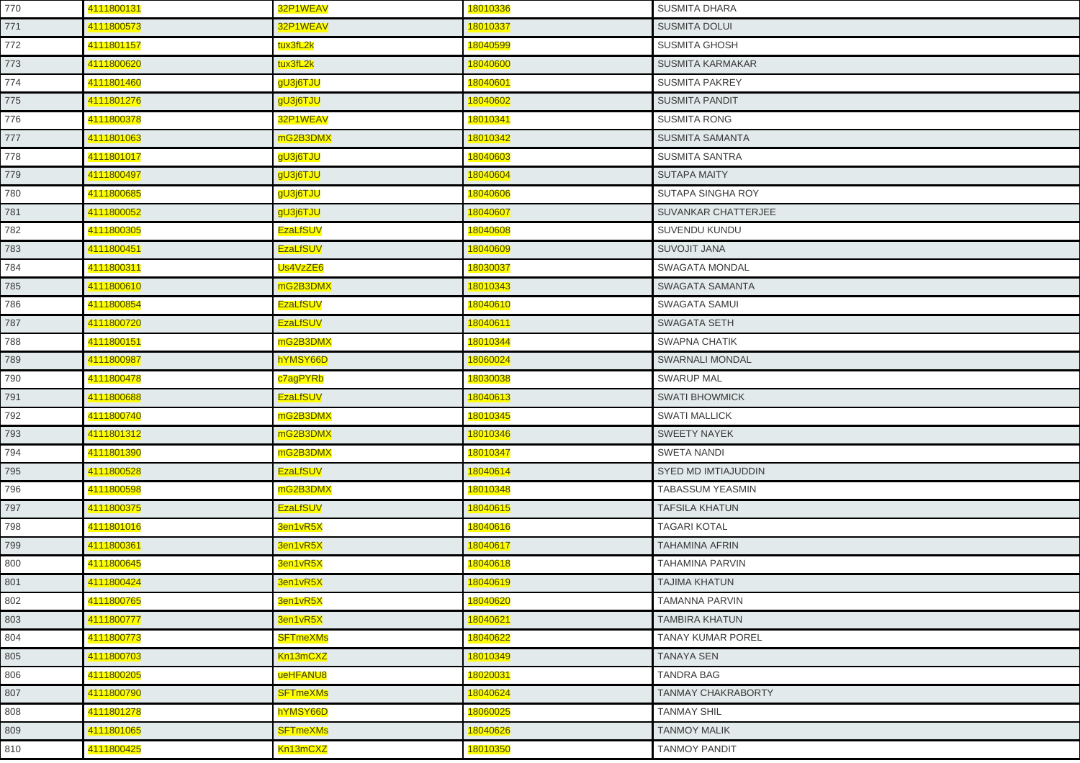| 770 | 4111800131 | 32P1WEAV        | 18010336 | <b>SUSMITA DHARA</b>      |
|-----|------------|-----------------|----------|---------------------------|
| 771 | 4111800573 | 32P1WEAV        | 18010337 | <b>SUSMITA DOLUI</b>      |
| 772 | 4111801157 | tux3fL2k        | 18040599 | <b>SUSMITA GHOSH</b>      |
| 773 | 4111800620 | tux3fL2k        | 18040600 | <b>SUSMITA KARMAKAR</b>   |
| 774 | 4111801460 | gU3j6TJU        | 18040601 | <b>SUSMITA PAKREY</b>     |
| 775 | 4111801276 | gU3j6TJU        | 18040602 | <b>SUSMITA PANDIT</b>     |
| 776 | 4111800378 | 32P1WEAV        | 18010341 | SUSMITA RONG              |
| 777 | 4111801063 | mG2B3DMX        | 18010342 | <b>SUSMITA SAMANTA</b>    |
| 778 | 4111801017 | gU3j6TJU        | 18040603 | <b>SUSMITA SANTRA</b>     |
| 779 | 4111800497 | gU3j6TJU        | 18040604 | <b>SUTAPA MAITY</b>       |
| 780 | 4111800685 | gU3j6TJU        | 18040606 | SUTAPA SINGHA ROY         |
| 781 | 4111800052 | gU3j6TJU        | 18040607 | SUVANKAR CHATTERJEE       |
| 782 | 4111800305 | <b>EzaLfSUV</b> | 18040608 | <b>SUVENDU KUNDU</b>      |
| 783 | 4111800451 | <b>EzaLfSUV</b> | 18040609 | <b>SUVOJIT JANA</b>       |
| 784 | 4111800311 | Us4VzZE6        | 18030037 | <b>SWAGATA MONDAL</b>     |
| 785 | 4111800610 | mG2B3DMX        | 18010343 | SWAGATA SAMANTA           |
| 786 | 4111800854 | <b>EzaLfSUV</b> | 18040610 | SWAGATA SAMUI             |
| 787 | 4111800720 | <b>EzaLfSUV</b> | 18040611 | <b>SWAGATA SETH</b>       |
| 788 | 4111800151 | mG2B3DMX        | 18010344 | <b>SWAPNA CHATIK</b>      |
| 789 | 4111800987 | hYMSY66D        | 18060024 | <b>SWARNALI MONDAL</b>    |
| 790 | 4111800478 | c7agPYRb        | 18030038 | <b>SWARUP MAL</b>         |
| 791 | 4111800688 | <b>EzaLfSUV</b> | 18040613 | <b>SWATI BHOWMICK</b>     |
| 792 | 4111800740 | mG2B3DMX        | 18010345 | <b>SWATI MALLICK</b>      |
| 793 | 4111801312 | mG2B3DMX        | 18010346 | <b>SWEETY NAYEK</b>       |
| 794 | 4111801390 | mG2B3DMX        | 18010347 | <b>SWETA NANDI</b>        |
| 795 | 4111800528 | <b>EzaLfSUV</b> | 18040614 | SYED MD IMTIAJUDDIN       |
| 796 | 4111800598 | mG2B3DMX        | 18010348 | <b>TABASSUM YEASMIN</b>   |
| 797 | 4111800375 | <b>EzaLfSUV</b> | 18040615 | <b>TAFSILA KHATUN</b>     |
| 798 | 4111801016 | 3en1vR5X        | 18040616 | <b>TAGARI KOTAL</b>       |
| 799 | 4111800361 | 3en1vR5X        | 18040617 | <b>TAHAMINA AFRIN</b>     |
| 800 | 4111800645 | 3en1vR5X        | 18040618 | <b>TAHAMINA PARVIN</b>    |
| 801 | 4111800424 | 3en1vR5X        | 18040619 | <b>TAJIMA KHATUN</b>      |
| 802 | 4111800765 | 3en1vR5X        | 18040620 | <b>TAMANNA PARVIN</b>     |
| 803 | 4111800777 | 3en1vR5X        | 18040621 | <b>TAMBIRA KHATUN</b>     |
| 804 | 4111800773 | <b>SFTmeXMs</b> | 18040622 | <b>TANAY KUMAR POREL</b>  |
| 805 | 4111800703 | Kn13mCXZ        | 18010349 | <b>TANAYA SEN</b>         |
| 806 | 4111800205 | ueHFANU8        | 18020031 | <b>TANDRA BAG</b>         |
| 807 | 4111800790 | <b>SFTmeXMs</b> | 18040624 | <b>TANMAY CHAKRABORTY</b> |
| 808 | 4111801278 | hYMSY66D        | 18060025 | <b>TANMAY SHIL</b>        |
| 809 | 4111801065 | <b>SFTmeXMs</b> | 18040626 | <b>TANMOY MALIK</b>       |
| 810 | 4111800425 | Kn13mCXZ        | 18010350 | <b>TANMOY PANDIT</b>      |
|     |            |                 |          |                           |